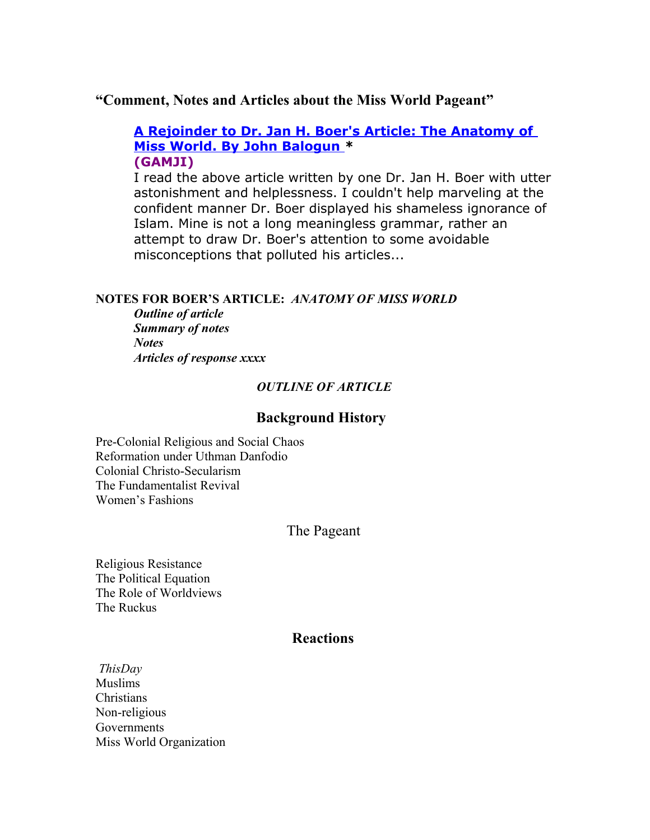# **"Comment, Notes and Articles about the Miss World Pageant"**

# **[A Rejoinder to Dr. Jan H. Boer's Article: The Anatomy of](http://www.gamji.com/amviews56.htm)  [Miss World. By John Balogun \\*](http://www.gamji.com/amviews56.htm) (GAMJI)**

I read the above article written by one Dr. Jan H. Boer with utter astonishment and helplessness. I couldn't help marveling at the confident manner Dr. Boer displayed his shameless ignorance of Islam. Mine is not a long meaningless grammar, rather an attempt to draw Dr. Boer's attention to some avoidable misconceptions that polluted his articles...

## **NOTES FOR BOER'S ARTICLE:** *ANATOMY OF MISS WORLD*

*Outline of article Summary of notes Notes Articles of response xxxx*

### *OUTLINE OF ARTICLE*

## **Background History**

Pre-Colonial Religious and Social Chaos Reformation under Uthman Danfodio Colonial Christo-Secularism The Fundamentalist Revival Women's Fashions

# The Pageant

Religious Resistance The Political Equation The Role of Worldviews The Ruckus

# **Reactions**

*ThisDay* Muslims Christians Non-religious Governments Miss World Organization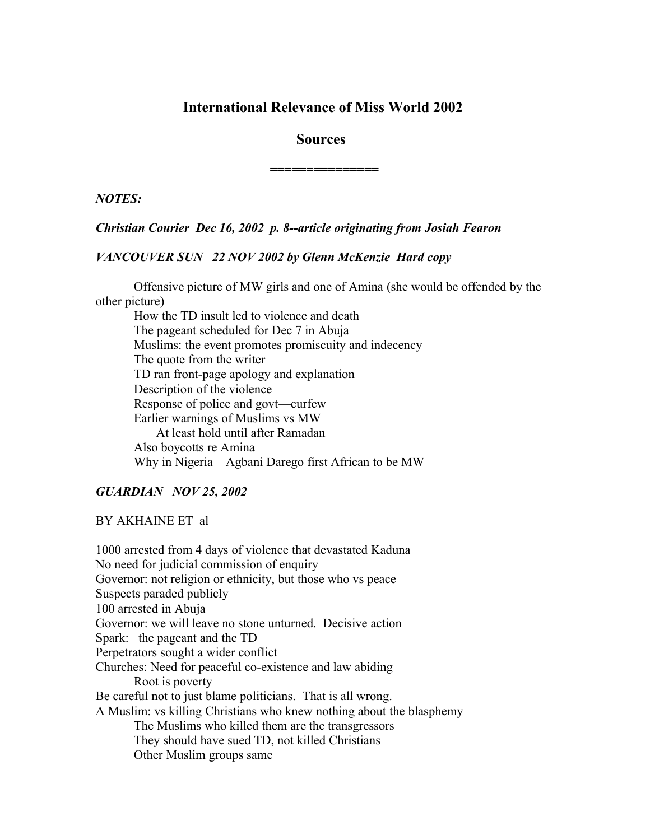# **International Relevance of Miss World 2002**

### **Sources**

*===============*

*NOTES:*

### *Christian Courier Dec 16, 2002 p. 8--article originating from Josiah Fearon*

### *VANCOUVER SUN 22 NOV 2002 by Glenn McKenzie Hard copy*

Offensive picture of MW girls and one of Amina (she would be offended by the other picture)

How the TD insult led to violence and death The pageant scheduled for Dec 7 in Abuja Muslims: the event promotes promiscuity and indecency The quote from the writer TD ran front-page apology and explanation Description of the violence Response of police and govt—curfew Earlier warnings of Muslims vs MW At least hold until after Ramadan Also boycotts re Amina Why in Nigeria—Agbani Darego first African to be MW

### *GUARDIAN NOV 25, 2002*

### BY AKHAINE ET al

1000 arrested from 4 days of violence that devastated Kaduna No need for judicial commission of enquiry Governor: not religion or ethnicity, but those who vs peace Suspects paraded publicly 100 arrested in Abuja Governor: we will leave no stone unturned. Decisive action Spark: the pageant and the TD Perpetrators sought a wider conflict Churches: Need for peaceful co-existence and law abiding Root is poverty Be careful not to just blame politicians. That is all wrong. A Muslim: vs killing Christians who knew nothing about the blasphemy The Muslims who killed them are the transgressors They should have sued TD, not killed Christians Other Muslim groups same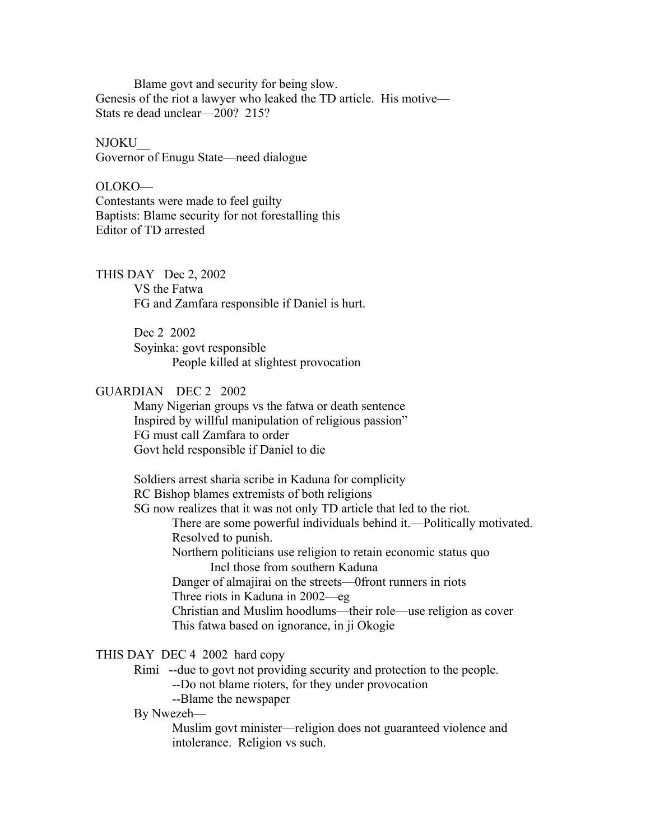Blame govt and security for being slow. Genesis of the riot a lawyer who leaked the TD article. His motive— Stats re dead unclear—200? 215?

#### NJOKU\_\_

Governor of Enugu State—need dialogue

OLOKO— Contestants were made to feel guilty Baptists: Blame security for not forestalling this Editor of TD arrested

THIS DAY Dec 2, 2002 VS the Fatwa FG and Zamfara responsible if Daniel is hurt.

> Dec 2 2002 Soyinka: govt responsible People killed at slightest provocation

### GUARDIAN DEC 2 2002

Many Nigerian groups vs the fatwa or death sentence Inspired by willful manipulation of religious passion" FG must call Zamfara to order Govt held responsible if Daniel to die

Soldiers arrest sharia scribe in Kaduna for complicity RC Bishop blames extremists of both religions

SG now realizes that it was not only TD article that led to the riot.

There are some powerful individuals behind it.—Politically motivated. Resolved to punish.

Northern politicians use religion to retain economic status quo Incl those from southern Kaduna

Danger of almajirai on the streets—0front runners in riots

Three riots in Kaduna in 2002—eg

Christian and Muslim hoodlums—their role—use religion as cover This fatwa based on ignorance, in ji Okogie

## THIS DAY DEC 4 2002 hard copy

Rimi --due to govt not providing security and protection to the people.

--Do not blame rioters, for they under provocation

--Blame the newspaper

## By Nwezeh—

Muslim govt minister—religion does not guaranteed violence and intolerance. Religion vs such.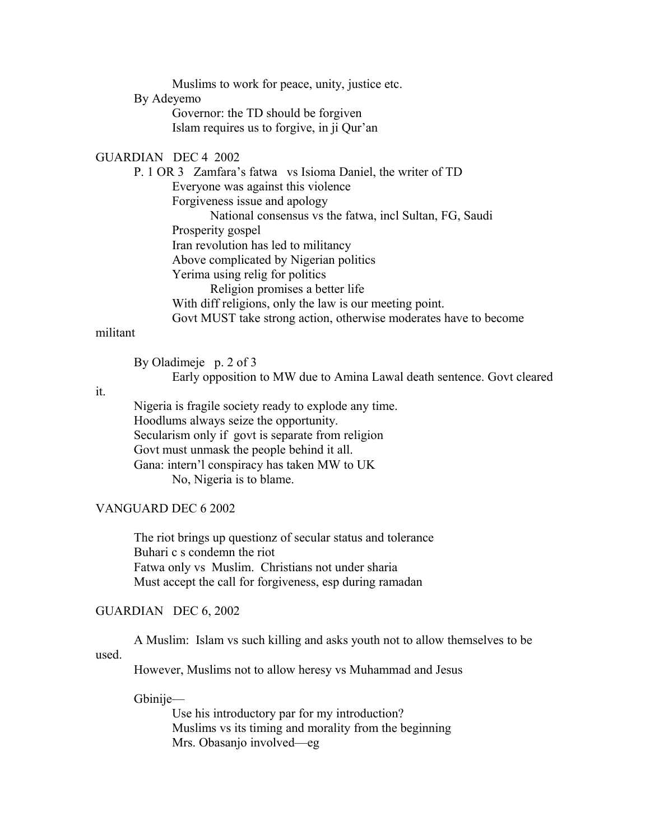Muslims to work for peace, unity, justice etc.

#### By Adeyemo

Governor: the TD should be forgiven Islam requires us to forgive, in ji Qur'an

## GUARDIAN DEC 4 2002

P. 1 OR 3 Zamfara's fatwa vs Isioma Daniel, the writer of TD Everyone was against this violence Forgiveness issue and apology National consensus vs the fatwa, incl Sultan, FG, Saudi Prosperity gospel Iran revolution has led to militancy Above complicated by Nigerian politics Yerima using relig for politics Religion promises a better life With diff religions, only the law is our meeting point. Govt MUST take strong action, otherwise moderates have to become

## militant

By Oladimeje p. 2 of 3 Early opposition to MW due to Amina Lawal death sentence. Govt cleared

### it.

Nigeria is fragile society ready to explode any time. Hoodlums always seize the opportunity. Secularism only if govt is separate from religion Govt must unmask the people behind it all. Gana: intern'l conspiracy has taken MW to UK No, Nigeria is to blame.

## VANGUARD DEC 6 2002

The riot brings up questionz of secular status and tolerance Buhari c s condemn the riot Fatwa only vs Muslim. Christians not under sharia Must accept the call for forgiveness, esp during ramadan

#### GUARDIAN DEC 6, 2002

A Muslim: Islam vs such killing and asks youth not to allow themselves to be used.

However, Muslims not to allow heresy vs Muhammad and Jesus

#### Gbinije—

Use his introductory par for my introduction? Muslims vs its timing and morality from the beginning Mrs. Obasanjo involved—eg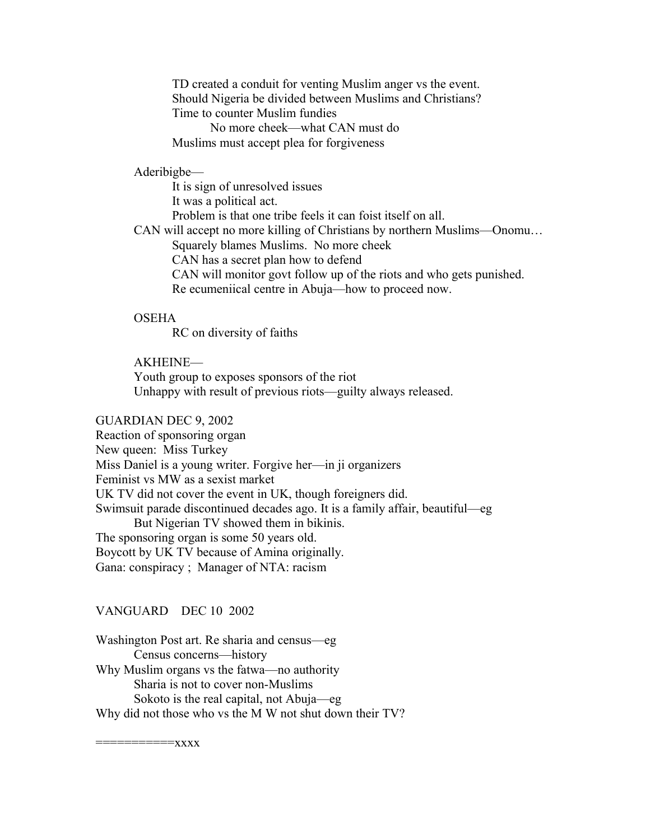TD created a conduit for venting Muslim anger vs the event. Should Nigeria be divided between Muslims and Christians? Time to counter Muslim fundies No more cheek—what CAN must do Muslims must accept plea for forgiveness

### Aderibigbe—

It is sign of unresolved issues It was a political act. Problem is that one tribe feels it can foist itself on all. CAN will accept no more killing of Christians by northern Muslims—Onomu… Squarely blames Muslims. No more cheek CAN has a secret plan how to defend CAN will monitor govt follow up of the riots and who gets punished. Re ecumeniical centre in Abuja—how to proceed now.

### **OSEHA**

RC on diversity of faiths

### AKHEINE—

Youth group to exposes sponsors of the riot Unhappy with result of previous riots—guilty always released.

#### GUARDIAN DEC 9, 2002

Reaction of sponsoring organ New queen: Miss Turkey Miss Daniel is a young writer. Forgive her—in ji organizers Feminist vs MW as a sexist market UK TV did not cover the event in UK, though foreigners did. Swimsuit parade discontinued decades ago. It is a family affair, beautiful—eg But Nigerian TV showed them in bikinis. The sponsoring organ is some 50 years old. Boycott by UK TV because of Amina originally. Gana: conspiracy ; Manager of NTA: racism

#### VANGUARD DEC 10 2002

Washington Post art. Re sharia and census—eg Census concerns—history Why Muslim organs vs the fatwa—no authority Sharia is not to cover non-Muslims Sokoto is the real capital, not Abuja—eg Why did not those who vs the M W not shut down their TV?

===========xxxx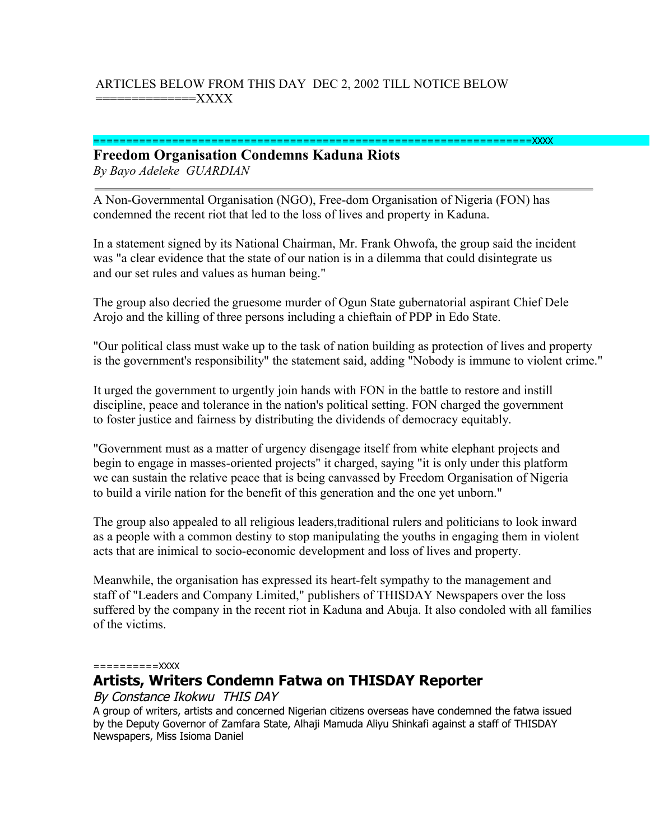# ARTICLES BELOW FROM THIS DAY DEC 2, 2002 TILL NOTICE BELOW ==============XXXX

#### ===================================================================XXXX

### **Freedom Organisation Condemns Kaduna Riots** *By Bayo Adeleke GUARDIAN*

A Non-Governmental Organisation (NGO), Free-dom Organisation of Nigeria (FON) has condemned the recent riot that led to the loss of lives and property in Kaduna.

In a statement signed by its National Chairman, Mr. Frank Ohwofa, the group said the incident was "a clear evidence that the state of our nation is in a dilemma that could disintegrate us and our set rules and values as human being."

The group also decried the gruesome murder of Ogun State gubernatorial aspirant Chief Dele Arojo and the killing of three persons including a chieftain of PDP in Edo State.

"Our political class must wake up to the task of nation building as protection of lives and property is the government's responsibility" the statement said, adding "Nobody is immune to violent crime."

It urged the government to urgently join hands with FON in the battle to restore and instill discipline, peace and tolerance in the nation's political setting. FON charged the government to foster justice and fairness by distributing the dividends of democracy equitably.

"Government must as a matter of urgency disengage itself from white elephant projects and begin to engage in masses-oriented projects" it charged, saying "it is only under this platform we can sustain the relative peace that is being canvassed by Freedom Organisation of Nigeria to build a virile nation for the benefit of this generation and the one yet unborn."

The group also appealed to all religious leaders,traditional rulers and politicians to look inward as a people with a common destiny to stop manipulating the youths in engaging them in violent acts that are inimical to socio-economic development and loss of lives and property.

Meanwhile, the organisation has expressed its heart-felt sympathy to the management and staff of "Leaders and Company Limited," publishers of THISDAY Newspapers over the loss suffered by the company in the recent riot in Kaduna and Abuja. It also condoled with all families of the victims.

#### ==========XXXX

# **Artists, Writers Condemn Fatwa on THISDAY Reporter**

### By Constance Ikokwu THIS DAY

A group of writers, artists and concerned Nigerian citizens overseas have condemned the fatwa issued by the Deputy Governor of Zamfara State, Alhaji Mamuda Aliyu Shinkafi against a staff of THISDAY Newspapers, Miss Isioma Daniel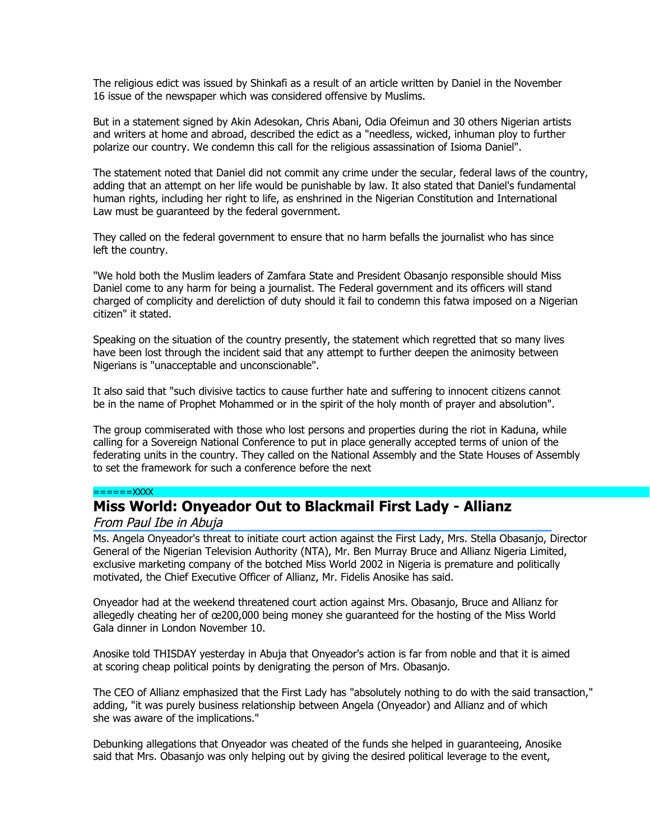The religious edict was issued by Shinkafi as a result of an article written by Daniel in the November 16 issue of the newspaper which was considered offensive by Muslims.

But in a statement signed by Akin Adesokan, Chris Abani, Odia Ofeimun and 30 others Nigerian artists and writers at home and abroad, described the edict as a "needless, wicked, inhuman ploy to further polarize our country. We condemn this call for the religious assassination of Isioma Daniel".

The statement noted that Daniel did not commit any crime under the secular, federal laws of the country, adding that an attempt on her life would be punishable by law. It also stated that Daniel's fundamental human rights, including her right to life, as enshrined in the Nigerian Constitution and International Law must be guaranteed by the federal government.

They called on the federal government to ensure that no harm befalls the journalist who has since left the country.

"We hold both the Muslim leaders of Zamfara State and President Obasanjo responsible should Miss Daniel come to any harm for being a journalist. The Federal government and its officers will stand charged of complicity and dereliction of duty should it fail to condemn this fatwa imposed on a Nigerian citizen" it stated.

Speaking on the situation of the country presently, the statement which regretted that so many lives have been lost through the incident said that any attempt to further deepen the animosity between Nigerians is "unacceptable and unconscionable".

It also said that "such divisive tactics to cause further hate and suffering to innocent citizens cannot be in the name of Prophet Mohammed or in the spirit of the holy month of prayer and absolution".

The group commiserated with those who lost persons and properties during the riot in Kaduna, while calling for a Sovereign National Conference to put in place generally accepted terms of union of the federating units in the country. They called on the National Assembly and the State Houses of Assembly to set the framework for such a conference before the next

#### $=-=-\frac{1}{2}X$

# **Miss World: Onyeador Out to Blackmail First Lady - Allianz**

#### From Paul Ibe in Abuja

Ms. Angela Onyeador's threat to initiate court action against the First Lady, Mrs. Stella Obasanjo, Director General of the Nigerian Television Authority (NTA), Mr. Ben Murray Bruce and Allianz Nigeria Limited, exclusive marketing company of the botched Miss World 2002 in Nigeria is premature and politically motivated, the Chief Executive Officer of Allianz, Mr. Fidelis Anosike has said.

Onyeador had at the weekend threatened court action against Mrs. Obasanjo, Bruce and Allianz for allegedly cheating her of œ200,000 being money she guaranteed for the hosting of the Miss World Gala dinner in London November 10.

Anosike told THISDAY yesterday in Abuja that Onyeador's action is far from noble and that it is aimed at scoring cheap political points by denigrating the person of Mrs. Obasanjo.

The CEO of Allianz emphasized that the First Lady has "absolutely nothing to do with the said transaction," adding, "it was purely business relationship between Angela (Onyeador) and Allianz and of which she was aware of the implications."

Debunking allegations that Onyeador was cheated of the funds she helped in guaranteeing, Anosike said that Mrs. Obasanjo was only helping out by giving the desired political leverage to the event,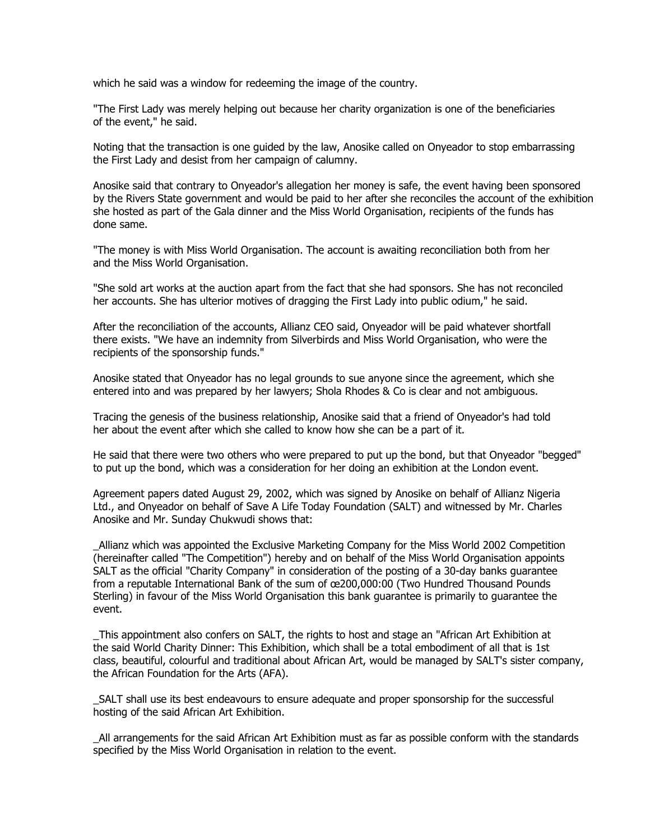which he said was a window for redeeming the image of the country.

"The First Lady was merely helping out because her charity organization is one of the beneficiaries of the event," he said.

Noting that the transaction is one guided by the law, Anosike called on Onyeador to stop embarrassing the First Lady and desist from her campaign of calumny.

Anosike said that contrary to Onyeador's allegation her money is safe, the event having been sponsored by the Rivers State government and would be paid to her after she reconciles the account of the exhibition she hosted as part of the Gala dinner and the Miss World Organisation, recipients of the funds has done same.

"The money is with Miss World Organisation. The account is awaiting reconciliation both from her and the Miss World Organisation.

"She sold art works at the auction apart from the fact that she had sponsors. She has not reconciled her accounts. She has ulterior motives of dragging the First Lady into public odium," he said.

After the reconciliation of the accounts, Allianz CEO said, Onyeador will be paid whatever shortfall there exists. "We have an indemnity from Silverbirds and Miss World Organisation, who were the recipients of the sponsorship funds."

Anosike stated that Onyeador has no legal grounds to sue anyone since the agreement, which she entered into and was prepared by her lawyers; Shola Rhodes & Co is clear and not ambiguous.

Tracing the genesis of the business relationship, Anosike said that a friend of Onyeador's had told her about the event after which she called to know how she can be a part of it.

He said that there were two others who were prepared to put up the bond, but that Onyeador "begged" to put up the bond, which was a consideration for her doing an exhibition at the London event.

Agreement papers dated August 29, 2002, which was signed by Anosike on behalf of Allianz Nigeria Ltd., and Onyeador on behalf of Save A Life Today Foundation (SALT) and witnessed by Mr. Charles Anosike and Mr. Sunday Chukwudi shows that:

\_Allianz which was appointed the Exclusive Marketing Company for the Miss World 2002 Competition (hereinafter called "The Competition") hereby and on behalf of the Miss World Organisation appoints SALT as the official "Charity Company" in consideration of the posting of a 30-day banks guarantee from a reputable International Bank of the sum of œ200,000:00 (Two Hundred Thousand Pounds Sterling) in favour of the Miss World Organisation this bank guarantee is primarily to guarantee the event.

\_This appointment also confers on SALT, the rights to host and stage an "African Art Exhibition at the said World Charity Dinner: This Exhibition, which shall be a total embodiment of all that is 1st class, beautiful, colourful and traditional about African Art, would be managed by SALT's sister company, the African Foundation for the Arts (AFA).

\_SALT shall use its best endeavours to ensure adequate and proper sponsorship for the successful hosting of the said African Art Exhibition.

\_All arrangements for the said African Art Exhibition must as far as possible conform with the standards specified by the Miss World Organisation in relation to the event.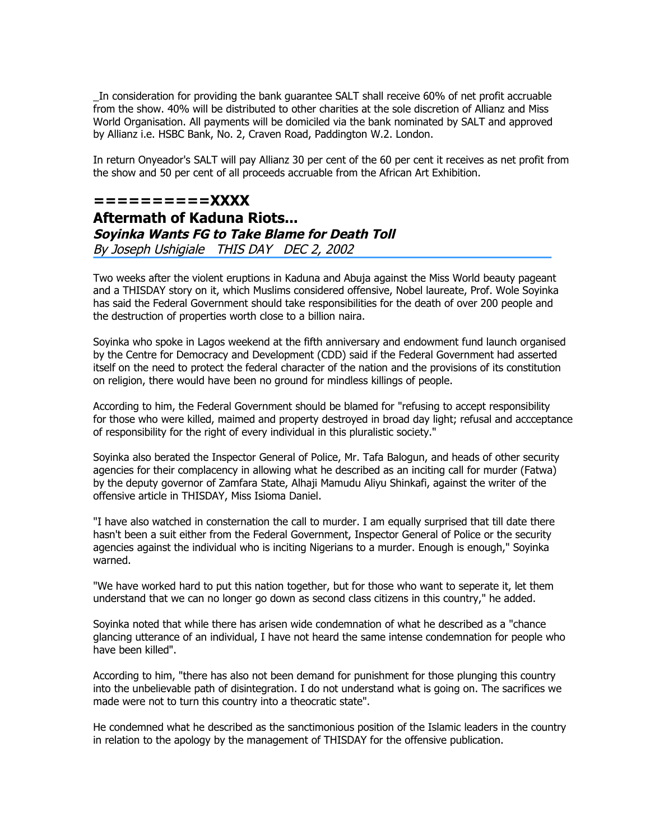\_In consideration for providing the bank guarantee SALT shall receive 60% of net profit accruable from the show. 40% will be distributed to other charities at the sole discretion of Allianz and Miss World Organisation. All payments will be domiciled via the bank nominated by SALT and approved by Allianz i.e. HSBC Bank, No. 2, Craven Road, Paddington W.2. London.

In return Onyeador's SALT will pay Allianz 30 per cent of the 60 per cent it receives as net profit from the show and 50 per cent of all proceeds accruable from the African Art Exhibition.

# **==========XXXX Aftermath of Kaduna Riots... Soyinka Wants FG to Take Blame for Death Toll** By Joseph Ushigiale THIS DAY DEC 2, 2002

Two weeks after the violent eruptions in Kaduna and Abuja against the Miss World beauty pageant and a THISDAY story on it, which Muslims considered offensive, Nobel laureate, Prof. Wole Soyinka has said the Federal Government should take responsibilities for the death of over 200 people and the destruction of properties worth close to a billion naira.

Soyinka who spoke in Lagos weekend at the fifth anniversary and endowment fund launch organised by the Centre for Democracy and Development (CDD) said if the Federal Government had asserted itself on the need to protect the federal character of the nation and the provisions of its constitution on religion, there would have been no ground for mindless killings of people.

According to him, the Federal Government should be blamed for "refusing to accept responsibility for those who were killed, maimed and property destroyed in broad day light; refusal and accceptance of responsibility for the right of every individual in this pluralistic society."

Soyinka also berated the Inspector General of Police, Mr. Tafa Balogun, and heads of other security agencies for their complacency in allowing what he described as an inciting call for murder (Fatwa) by the deputy governor of Zamfara State, Alhaji Mamudu Aliyu Shinkafi, against the writer of the offensive article in THISDAY, Miss Isioma Daniel.

"I have also watched in consternation the call to murder. I am equally surprised that till date there hasn't been a suit either from the Federal Government, Inspector General of Police or the security agencies against the individual who is inciting Nigerians to a murder. Enough is enough," Soyinka warned.

"We have worked hard to put this nation together, but for those who want to seperate it, let them understand that we can no longer go down as second class citizens in this country," he added.

Soyinka noted that while there has arisen wide condemnation of what he described as a "chance glancing utterance of an individual, I have not heard the same intense condemnation for people who have been killed".

According to him, "there has also not been demand for punishment for those plunging this country into the unbelievable path of disintegration. I do not understand what is going on. The sacrifices we made were not to turn this country into a theocratic state".

He condemned what he described as the sanctimonious position of the Islamic leaders in the country in relation to the apology by the management of THISDAY for the offensive publication.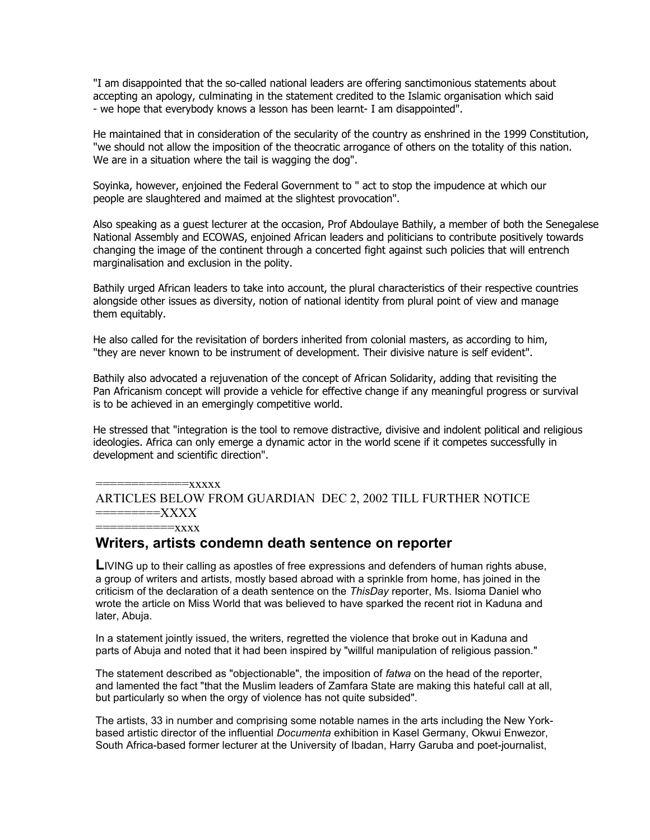"I am disappointed that the so-called national leaders are offering sanctimonious statements about accepting an apology, culminating in the statement credited to the Islamic organisation which said - we hope that everybody knows a lesson has been learnt- I am disappointed".

He maintained that in consideration of the secularity of the country as enshrined in the 1999 Constitution, "we should not allow the imposition of the theocratic arrogance of others on the totality of this nation. We are in a situation where the tail is wagging the dog".

Soyinka, however, enjoined the Federal Government to " act to stop the impudence at which our people are slaughtered and maimed at the slightest provocation".

Also speaking as a guest lecturer at the occasion, Prof Abdoulaye Bathily, a member of both the Senegalese National Assembly and ECOWAS, enjoined African leaders and politicians to contribute positively towards changing the image of the continent through a concerted fight against such policies that will entrench marginalisation and exclusion in the polity.

Bathily urged African leaders to take into account, the plural characteristics of their respective countries alongside other issues as diversity, notion of national identity from plural point of view and manage them equitably.

He also called for the revisitation of borders inherited from colonial masters, as according to him, "they are never known to be instrument of development. Their divisive nature is self evident".

Bathily also advocated a rejuvenation of the concept of African Solidarity, adding that revisiting the Pan Africanism concept will provide a vehicle for effective change if any meaningful progress or survival is to be achieved in an emergingly competitive world.

He stressed that "integration is the tool to remove distractive, divisive and indolent political and religious ideologies. Africa can only emerge a dynamic actor in the world scene if it competes successfully in development and scientific direction".

=============xxxxx ARTICLES BELOW FROM GUARDIAN DEC 2, 2002 TILL FURTHER NOTICE =========XXXX ===========xxxx

**Writers, artists condemn death sentence on reporter**

**LIVING up to their calling as apostles of free expressions and defenders of human rights abuse,** a group of writers and artists, mostly based abroad with a sprinkle from home, has joined in the criticism of the declaration of a death sentence on the *ThisDay* reporter, Ms. Isioma Daniel who wrote the article on Miss World that was believed to have sparked the recent riot in Kaduna and later, Abuja.

In a statement jointly issued, the writers, regretted the violence that broke out in Kaduna and parts of Abuja and noted that it had been inspired by "willful manipulation of religious passion."

The statement described as "objectionable", the imposition of *fatwa* on the head of the reporter, and lamented the fact "that the Muslim leaders of Zamfara State are making this hateful call at all, but particularly so when the orgy of violence has not quite subsided".

The artists, 33 in number and comprising some notable names in the arts including the New Yorkbased artistic director of the influential *Documenta* exhibition in Kasel Germany, Okwui Enwezor, South Africa-based former lecturer at the University of Ibadan, Harry Garuba and poet-journalist,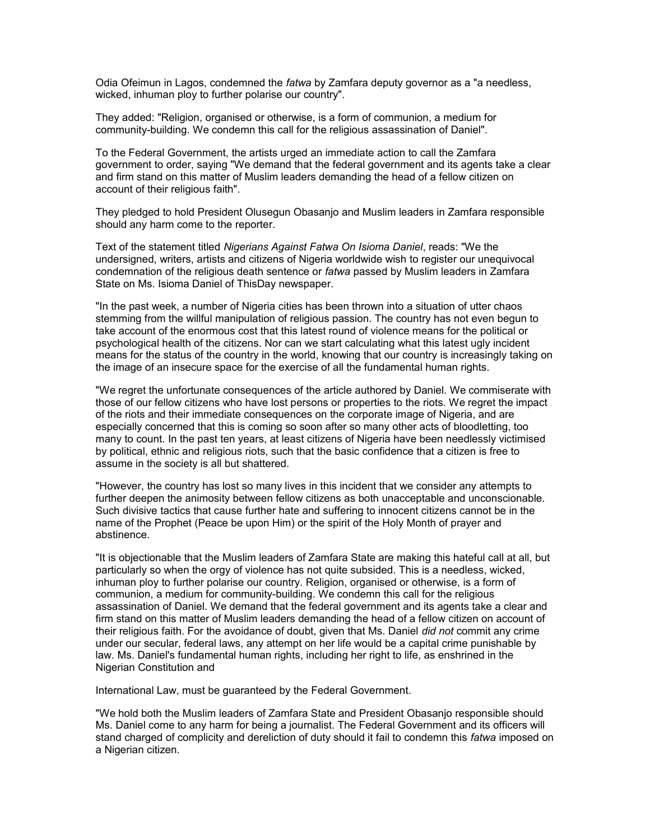Odia Ofeimun in Lagos, condemned the *fatwa* by Zamfara deputy governor as a "a needless, wicked, inhuman ploy to further polarise our country".

They added: "Religion, organised or otherwise, is a form of communion, a medium for community-building. We condemn this call for the religious assassination of Daniel".

To the Federal Government, the artists urged an immediate action to call the Zamfara government to order, saying "We demand that the federal government and its agents take a clear and firm stand on this matter of Muslim leaders demanding the head of a fellow citizen on account of their religious faith".

They pledged to hold President Olusegun Obasanjo and Muslim leaders in Zamfara responsible should any harm come to the reporter.

Text of the statement titled *Nigerians Against Fatwa On Isioma Daniel*, reads: "We the undersigned, writers, artists and citizens of Nigeria worldwide wish to register our unequivocal condemnation of the religious death sentence or *fatwa* passed by Muslim leaders in Zamfara State on Ms. Isioma Daniel of ThisDay newspaper.

"In the past week, a number of Nigeria cities has been thrown into a situation of utter chaos stemming from the willful manipulation of religious passion. The country has not even begun to take account of the enormous cost that this latest round of violence means for the political or psychological health of the citizens. Nor can we start calculating what this latest ugly incident means for the status of the country in the world, knowing that our country is increasingly taking on the image of an insecure space for the exercise of all the fundamental human rights.

"We regret the unfortunate consequences of the article authored by Daniel. We commiserate with those of our fellow citizens who have lost persons or properties to the riots. We regret the impact of the riots and their immediate consequences on the corporate image of Nigeria, and are especially concerned that this is coming so soon after so many other acts of bloodletting, too many to count. In the past ten years, at least citizens of Nigeria have been needlessly victimised by political, ethnic and religious riots, such that the basic confidence that a citizen is free to assume in the society is all but shattered.

"However, the country has lost so many lives in this incident that we consider any attempts to further deepen the animosity between fellow citizens as both unacceptable and unconscionable. Such divisive tactics that cause further hate and suffering to innocent citizens cannot be in the name of the Prophet (Peace be upon Him) or the spirit of the Holy Month of prayer and abstinence.

"It is objectionable that the Muslim leaders of Zamfara State are making this hateful call at all, but particularly so when the orgy of violence has not quite subsided. This is a needless, wicked, inhuman ploy to further polarise our country. Religion, organised or otherwise, is a form of communion, a medium for community-building. We condemn this call for the religious assassination of Daniel. We demand that the federal government and its agents take a clear and firm stand on this matter of Muslim leaders demanding the head of a fellow citizen on account of their religious faith. For the avoidance of doubt, given that Ms. Daniel *did not* commit any crime under our secular, federal laws, any attempt on her life would be a capital crime punishable by law. Ms. Daniel's fundamental human rights, including her right to life, as enshrined in the Nigerian Constitution and

International Law, must be guaranteed by the Federal Government.

"We hold both the Muslim leaders of Zamfara State and President Obasanjo responsible should Ms. Daniel come to any harm for being a journalist. The Federal Government and its officers will stand charged of complicity and dereliction of duty should it fail to condemn this *fatwa* imposed on a Nigerian citizen.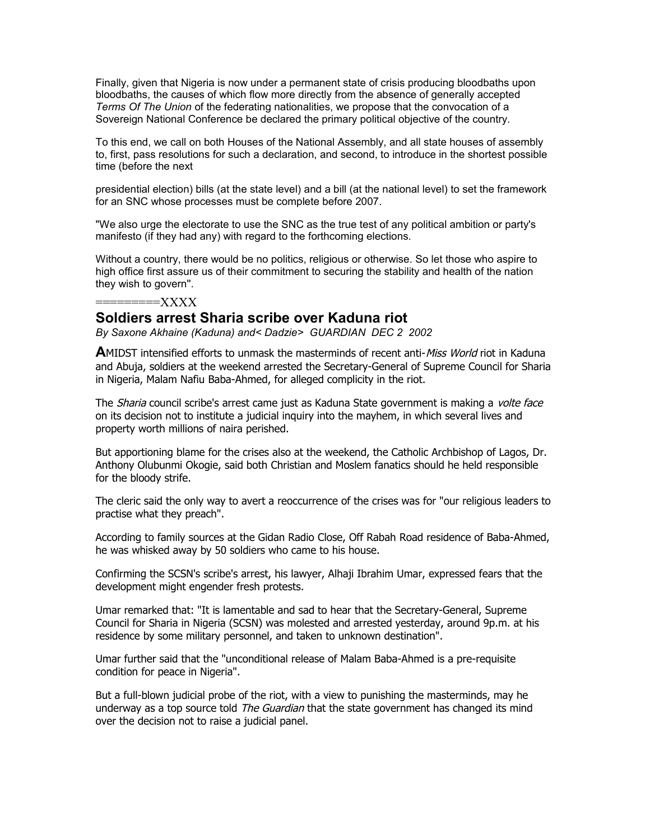Finally, given that Nigeria is now under a permanent state of crisis producing bloodbaths upon bloodbaths, the causes of which flow more directly from the absence of generally accepted *Terms Of The Union* of the federating nationalities, we propose that the convocation of a Sovereign National Conference be declared the primary political objective of the country.

To this end, we call on both Houses of the National Assembly, and all state houses of assembly to, first, pass resolutions for such a declaration, and second, to introduce in the shortest possible time (before the next

presidential election) bills (at the state level) and a bill (at the national level) to set the framework for an SNC whose processes must be complete before 2007.

"We also urge the electorate to use the SNC as the true test of any political ambition or party's manifesto (if they had any) with regard to the forthcoming elections.

Without a country, there would be no politics, religious or otherwise. So let those who aspire to high office first assure us of their commitment to securing the stability and health of the nation they wish to govern''.

### =========XXXX

### **Soldiers arrest Sharia scribe over Kaduna riot**

*By Saxone Akhaine (Kaduna) and< Dadzie> GUARDIAN DEC 2 2002*

**A**MIDST intensified efforts to unmask the masterminds of recent anti-*Miss World* riot in Kaduna and Abuja, soldiers at the weekend arrested the Secretary-General of Supreme Council for Sharia in Nigeria, Malam Nafiu Baba-Ahmed, for alleged complicity in the riot.

The *Sharia* council scribe's arrest came just as Kaduna State government is making a *volte face* on its decision not to institute a judicial inquiry into the mayhem, in which several lives and property worth millions of naira perished.

But apportioning blame for the crises also at the weekend, the Catholic Archbishop of Lagos, Dr. Anthony Olubunmi Okogie, said both Christian and Moslem fanatics should he held responsible for the bloody strife.

The cleric said the only way to avert a reoccurrence of the crises was for "our religious leaders to practise what they preach".

According to family sources at the Gidan Radio Close, Off Rabah Road residence of Baba-Ahmed, he was whisked away by 50 soldiers who came to his house.

Confirming the SCSN's scribe's arrest, his lawyer, Alhaji Ibrahim Umar, expressed fears that the development might engender fresh protests.

Umar remarked that: "It is lamentable and sad to hear that the Secretary-General, Supreme Council for Sharia in Nigeria (SCSN) was molested and arrested yesterday, around 9p.m. at his residence by some military personnel, and taken to unknown destination".

Umar further said that the "unconditional release of Malam Baba-Ahmed is a pre-requisite condition for peace in Nigeria".

But a full-blown judicial probe of the riot, with a view to punishing the masterminds, may he underway as a top source told *The Guardian* that the state government has changed its mind over the decision not to raise a judicial panel.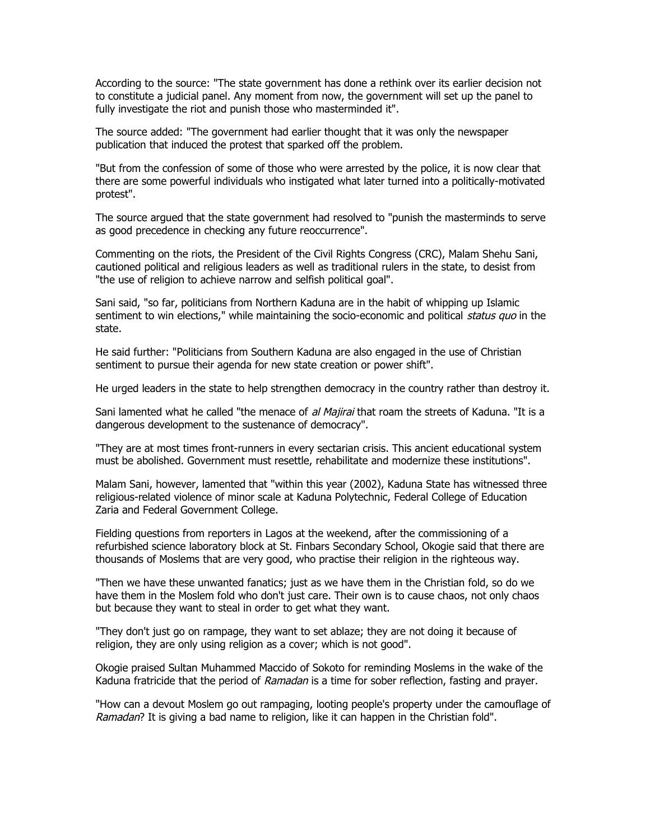According to the source: "The state government has done a rethink over its earlier decision not to constitute a judicial panel. Any moment from now, the government will set up the panel to fully investigate the riot and punish those who masterminded it".

The source added: "The government had earlier thought that it was only the newspaper publication that induced the protest that sparked off the problem.

"But from the confession of some of those who were arrested by the police, it is now clear that there are some powerful individuals who instigated what later turned into a politically-motivated protest".

The source argued that the state government had resolved to "punish the masterminds to serve as good precedence in checking any future reoccurrence".

Commenting on the riots, the President of the Civil Rights Congress (CRC), Malam Shehu Sani, cautioned political and religious leaders as well as traditional rulers in the state, to desist from "the use of religion to achieve narrow and selfish political goal".

Sani said, "so far, politicians from Northern Kaduna are in the habit of whipping up Islamic sentiment to win elections," while maintaining the socio-economic and political status quo in the state.

He said further: "Politicians from Southern Kaduna are also engaged in the use of Christian sentiment to pursue their agenda for new state creation or power shift".

He urged leaders in the state to help strengthen democracy in the country rather than destroy it.

Sani lamented what he called "the menace of al Majirai that roam the streets of Kaduna. "It is a dangerous development to the sustenance of democracy".

"They are at most times front-runners in every sectarian crisis. This ancient educational system must be abolished. Government must resettle, rehabilitate and modernize these institutions".

Malam Sani, however, lamented that "within this year (2002), Kaduna State has witnessed three religious-related violence of minor scale at Kaduna Polytechnic, Federal College of Education Zaria and Federal Government College.

Fielding questions from reporters in Lagos at the weekend, after the commissioning of a refurbished science laboratory block at St. Finbars Secondary School, Okogie said that there are thousands of Moslems that are very good, who practise their religion in the righteous way.

"Then we have these unwanted fanatics; just as we have them in the Christian fold, so do we have them in the Moslem fold who don't just care. Their own is to cause chaos, not only chaos but because they want to steal in order to get what they want.

"They don't just go on rampage, they want to set ablaze; they are not doing it because of religion, they are only using religion as a cover; which is not good".

Okogie praised Sultan Muhammed Maccido of Sokoto for reminding Moslems in the wake of the Kaduna fratricide that the period of Ramadan is a time for sober reflection, fasting and prayer.

"How can a devout Moslem go out rampaging, looting people's property under the camouflage of Ramadan? It is giving a bad name to religion, like it can happen in the Christian fold".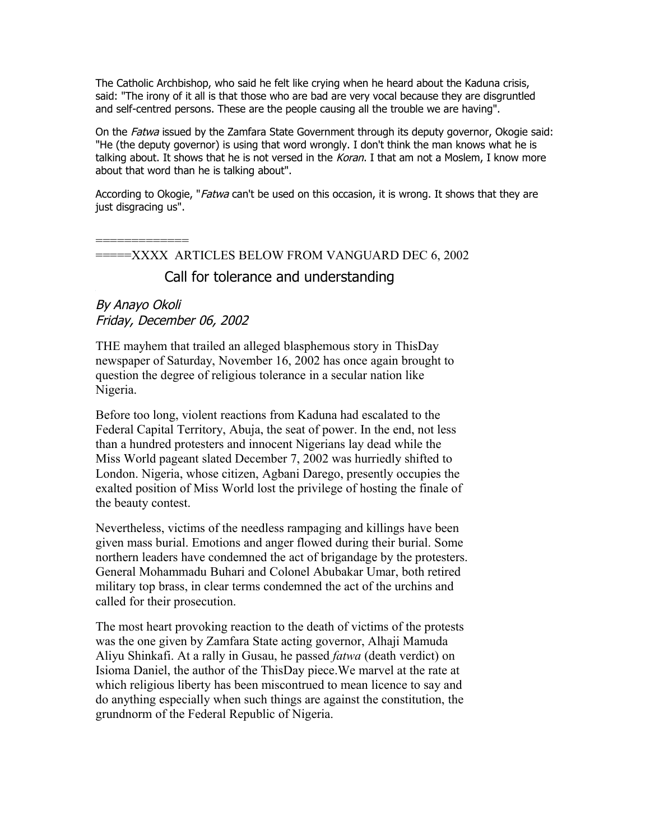The Catholic Archbishop, who said he felt like crying when he heard about the Kaduna crisis, said: "The irony of it all is that those who are bad are very vocal because they are disgruntled and self-centred persons. These are the people causing all the trouble we are having".

On the Fatwa issued by the Zamfara State Government through its deputy governor, Okogie said: "He (the deputy governor) is using that word wrongly. I don't think the man knows what he is talking about. It shows that he is not versed in the Koran. I that am not a Moslem, I know more about that word than he is talking about".

According to Okogie, "*Fatwa* can't be used on this occasion, it is wrong. It shows that they are just disgracing us".

=============

=====XXXX ARTICLES BELOW FROM VANGUARD DEC 6, 2002

# Call for tolerance and understanding

# By Anayo Okoli Friday, December 06, 2002

THE mayhem that trailed an alleged blasphemous story in ThisDay newspaper of Saturday, November 16, 2002 has once again brought to question the degree of religious tolerance in a secular nation like Nigeria.

Before too long, violent reactions from Kaduna had escalated to the Federal Capital Territory, Abuja, the seat of power. In the end, not less than a hundred protesters and innocent Nigerians lay dead while the Miss World pageant slated December 7, 2002 was hurriedly shifted to London. Nigeria, whose citizen, Agbani Darego, presently occupies the exalted position of Miss World lost the privilege of hosting the finale of the beauty contest.

Nevertheless, victims of the needless rampaging and killings have been given mass burial. Emotions and anger flowed during their burial. Some northern leaders have condemned the act of brigandage by the protesters. General Mohammadu Buhari and Colonel Abubakar Umar, both retired military top brass, in clear terms condemned the act of the urchins and called for their prosecution.

The most heart provoking reaction to the death of victims of the protests was the one given by Zamfara State acting governor, Alhaji Mamuda Aliyu Shinkafi. At a rally in Gusau, he passed *fatwa* (death verdict) on Isioma Daniel, the author of the ThisDay piece.We marvel at the rate at which religious liberty has been miscontrued to mean licence to say and do anything especially when such things are against the constitution, the grundnorm of the Federal Republic of Nigeria.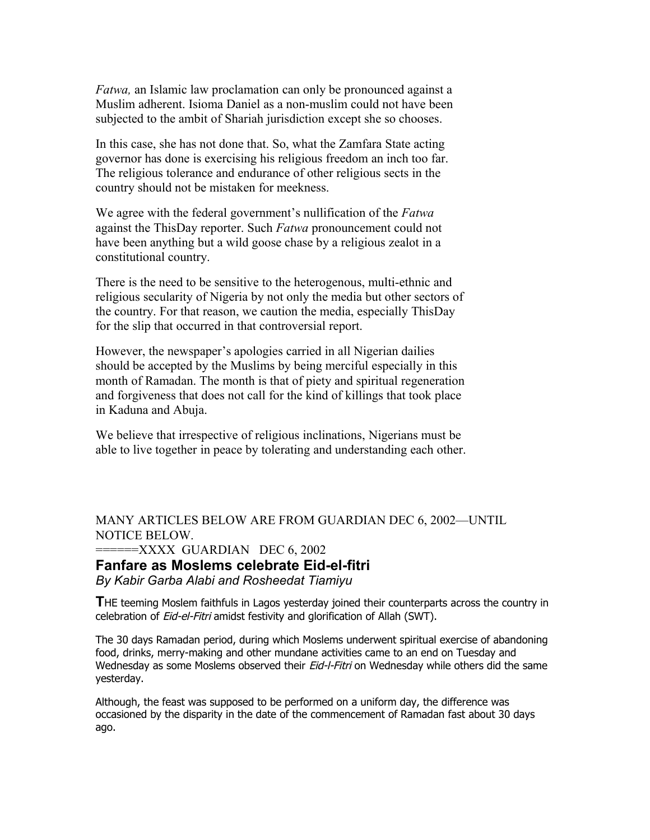*Fatwa,* an Islamic law proclamation can only be pronounced against a Muslim adherent. Isioma Daniel as a non-muslim could not have been subjected to the ambit of Shariah jurisdiction except she so chooses.

In this case, she has not done that. So, what the Zamfara State acting governor has done is exercising his religious freedom an inch too far. The religious tolerance and endurance of other religious sects in the country should not be mistaken for meekness.

We agree with the federal government's nullification of the *Fatwa* against the ThisDay reporter. Such *Fatwa* pronouncement could not have been anything but a wild goose chase by a religious zealot in a constitutional country.

There is the need to be sensitive to the heterogenous, multi-ethnic and religious secularity of Nigeria by not only the media but other sectors of the country. For that reason, we caution the media, especially ThisDay for the slip that occurred in that controversial report.

However, the newspaper's apologies carried in all Nigerian dailies should be accepted by the Muslims by being merciful especially in this month of Ramadan. The month is that of piety and spiritual regeneration and forgiveness that does not call for the kind of killings that took place in Kaduna and Abuja.

We believe that irrespective of religious inclinations, Nigerians must be able to live together in peace by tolerating and understanding each other.

MANY ARTICLES BELOW ARE FROM GUARDIAN DEC 6, 2002—UNTIL NOTICE BELOW.

 $=$  $=$  $=$  $=$  $XXXX$  GUARDIAN DEC 6, 2002

### **Fanfare as Moslems celebrate Eid-el-fitri**

*By Kabir Garba Alabi and Rosheedat Tiamiyu*

**T**HE teeming Moslem faithfuls in Lagos yesterday joined their counterparts across the country in celebration of Eid-el-Fitri amidst festivity and glorification of Allah (SWT).

The 30 days Ramadan period, during which Moslems underwent spiritual exercise of abandoning food, drinks, merry-making and other mundane activities came to an end on Tuesday and Wednesday as some Moslems observed their Eid-I-Fitri on Wednesday while others did the same yesterday.

Although, the feast was supposed to be performed on a uniform day, the difference was occasioned by the disparity in the date of the commencement of Ramadan fast about 30 days ago.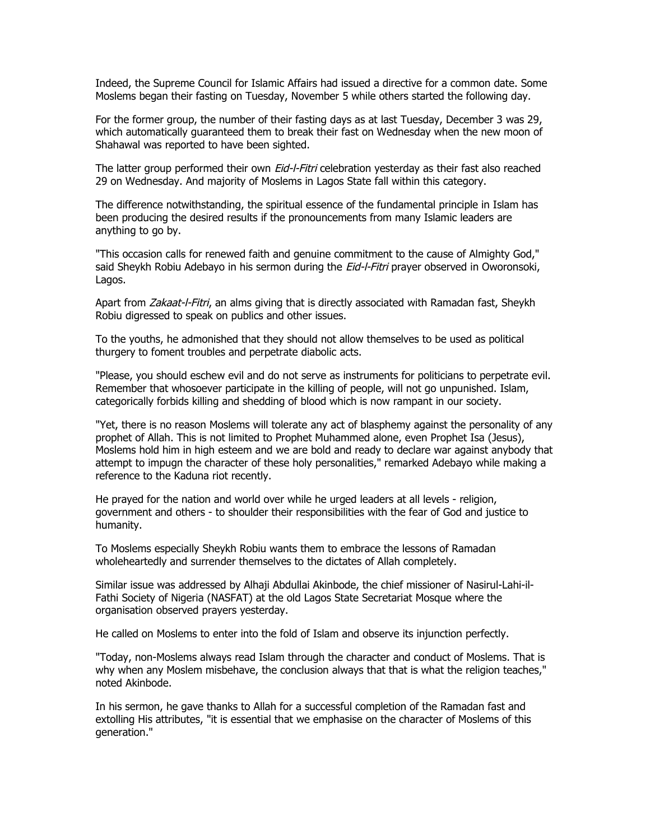Indeed, the Supreme Council for Islamic Affairs had issued a directive for a common date. Some Moslems began their fasting on Tuesday, November 5 while others started the following day.

For the former group, the number of their fasting days as at last Tuesday, December 3 was 29, which automatically guaranteed them to break their fast on Wednesday when the new moon of Shahawal was reported to have been sighted.

The latter group performed their own Eid-l-Fitri celebration yesterday as their fast also reached 29 on Wednesday. And majority of Moslems in Lagos State fall within this category.

The difference notwithstanding, the spiritual essence of the fundamental principle in Islam has been producing the desired results if the pronouncements from many Islamic leaders are anything to go by.

"This occasion calls for renewed faith and genuine commitment to the cause of Almighty God," said Sheykh Robiu Adebayo in his sermon during the *Eid-l-Fitri* prayer observed in Oworonsoki, Lagos.

Apart from Zakaat-I-Fitri, an alms giving that is directly associated with Ramadan fast, Sheykh Robiu digressed to speak on publics and other issues.

To the youths, he admonished that they should not allow themselves to be used as political thurgery to foment troubles and perpetrate diabolic acts.

"Please, you should eschew evil and do not serve as instruments for politicians to perpetrate evil. Remember that whosoever participate in the killing of people, will not go unpunished. Islam, categorically forbids killing and shedding of blood which is now rampant in our society.

"Yet, there is no reason Moslems will tolerate any act of blasphemy against the personality of any prophet of Allah. This is not limited to Prophet Muhammed alone, even Prophet Isa (Jesus), Moslems hold him in high esteem and we are bold and ready to declare war against anybody that attempt to impugn the character of these holy personalities," remarked Adebayo while making a reference to the Kaduna riot recently.

He prayed for the nation and world over while he urged leaders at all levels - religion, government and others - to shoulder their responsibilities with the fear of God and justice to humanity.

To Moslems especially Sheykh Robiu wants them to embrace the lessons of Ramadan wholeheartedly and surrender themselves to the dictates of Allah completely.

Similar issue was addressed by Alhaji Abdullai Akinbode, the chief missioner of Nasirul-Lahi-il-Fathi Society of Nigeria (NASFAT) at the old Lagos State Secretariat Mosque where the organisation observed prayers yesterday.

He called on Moslems to enter into the fold of Islam and observe its injunction perfectly.

"Today, non-Moslems always read Islam through the character and conduct of Moslems. That is why when any Moslem misbehave, the conclusion always that that is what the religion teaches," noted Akinbode.

In his sermon, he gave thanks to Allah for a successful completion of the Ramadan fast and extolling His attributes, "it is essential that we emphasise on the character of Moslems of this generation."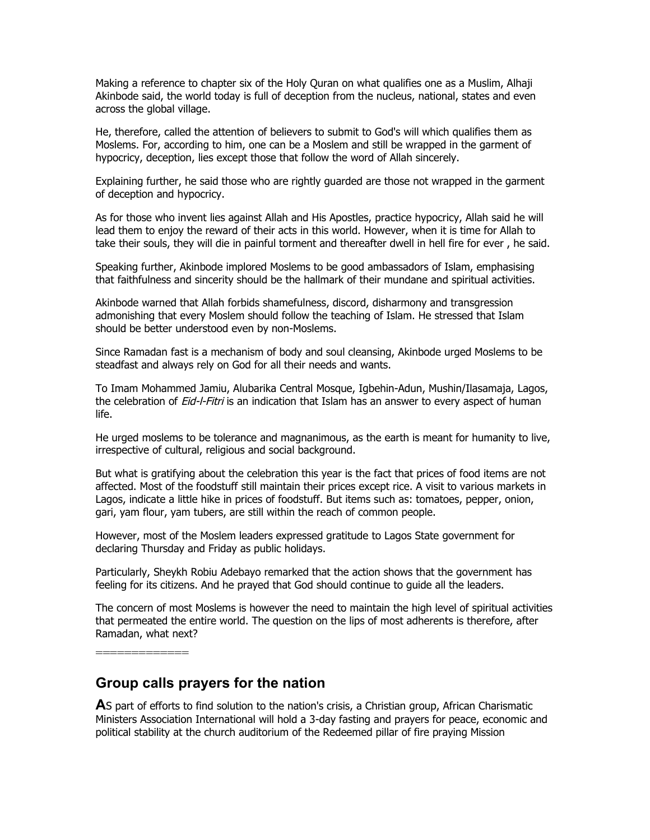Making a reference to chapter six of the Holy Quran on what qualifies one as a Muslim, Alhaji Akinbode said, the world today is full of deception from the nucleus, national, states and even across the global village.

He, therefore, called the attention of believers to submit to God's will which qualifies them as Moslems. For, according to him, one can be a Moslem and still be wrapped in the garment of hypocricy, deception, lies except those that follow the word of Allah sincerely.

Explaining further, he said those who are rightly guarded are those not wrapped in the garment of deception and hypocricy.

As for those who invent lies against Allah and His Apostles, practice hypocricy, Allah said he will lead them to enjoy the reward of their acts in this world. However, when it is time for Allah to take their souls, they will die in painful torment and thereafter dwell in hell fire for ever , he said.

Speaking further, Akinbode implored Moslems to be good ambassadors of Islam, emphasising that faithfulness and sincerity should be the hallmark of their mundane and spiritual activities.

Akinbode warned that Allah forbids shamefulness, discord, disharmony and transgression admonishing that every Moslem should follow the teaching of Islam. He stressed that Islam should be better understood even by non-Moslems.

Since Ramadan fast is a mechanism of body and soul cleansing, Akinbode urged Moslems to be steadfast and always rely on God for all their needs and wants.

To Imam Mohammed Jamiu, Alubarika Central Mosque, Igbehin-Adun, Mushin/Ilasamaja, Lagos, the celebration of *Eid-l-Fitri* is an indication that Islam has an answer to every aspect of human life.

He urged moslems to be tolerance and magnanimous, as the earth is meant for humanity to live, irrespective of cultural, religious and social background.

But what is gratifying about the celebration this year is the fact that prices of food items are not affected. Most of the foodstuff still maintain their prices except rice. A visit to various markets in Lagos, indicate a little hike in prices of foodstuff. But items such as: tomatoes, pepper, onion, gari, yam flour, yam tubers, are still within the reach of common people.

However, most of the Moslem leaders expressed gratitude to Lagos State government for declaring Thursday and Friday as public holidays.

Particularly, Sheykh Robiu Adebayo remarked that the action shows that the government has feeling for its citizens. And he prayed that God should continue to guide all the leaders.

The concern of most Moslems is however the need to maintain the high level of spiritual activities that permeated the entire world. The question on the lips of most adherents is therefore, after Ramadan, what next?

=============

# **Group calls prayers for the nation**

**A**S part of efforts to find solution to the nation's crisis, a Christian group, African Charismatic Ministers Association International will hold a 3-day fasting and prayers for peace, economic and political stability at the church auditorium of the Redeemed pillar of fire praying Mission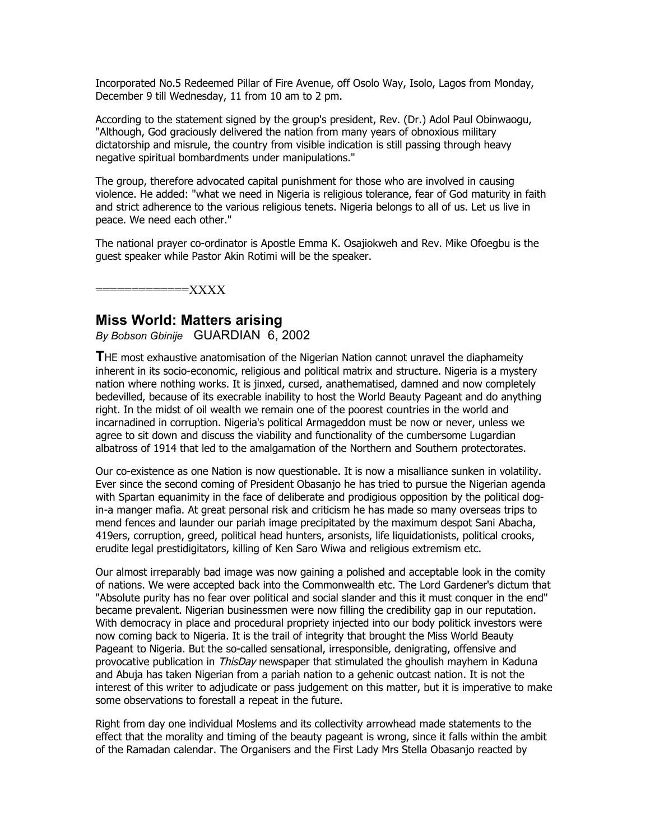Incorporated No.5 Redeemed Pillar of Fire Avenue, off Osolo Way, Isolo, Lagos from Monday, December 9 till Wednesday, 11 from 10 am to 2 pm.

According to the statement signed by the group's president, Rev. (Dr.) Adol Paul Obinwaogu, "Although, God graciously delivered the nation from many years of obnoxious military dictatorship and misrule, the country from visible indication is still passing through heavy negative spiritual bombardments under manipulations."

The group, therefore advocated capital punishment for those who are involved in causing violence. He added: "what we need in Nigeria is religious tolerance, fear of God maturity in faith and strict adherence to the various religious tenets. Nigeria belongs to all of us. Let us live in peace. We need each other."

The national prayer co-ordinator is Apostle Emma K. Osajiokweh and Rev. Mike Ofoegbu is the guest speaker while Pastor Akin Rotimi will be the speaker.

 $=\!\!\text{XXX} \times$ 

### **Miss World: Matters arising**

*By Bobson Gbinije* GUARDIAN 6, 2002

**T**HE most exhaustive anatomisation of the Nigerian Nation cannot unravel the diaphameity inherent in its socio-economic, religious and political matrix and structure. Nigeria is a mystery nation where nothing works. It is jinxed, cursed, anathematised, damned and now completely bedevilled, because of its execrable inability to host the World Beauty Pageant and do anything right. In the midst of oil wealth we remain one of the poorest countries in the world and incarnadined in corruption. Nigeria's political Armageddon must be now or never, unless we agree to sit down and discuss the viability and functionality of the cumbersome Lugardian albatross of 1914 that led to the amalgamation of the Northern and Southern protectorates.

Our co-existence as one Nation is now questionable. It is now a misalliance sunken in volatility. Ever since the second coming of President Obasanjo he has tried to pursue the Nigerian agenda with Spartan equanimity in the face of deliberate and prodigious opposition by the political dogin-a manger mafia. At great personal risk and criticism he has made so many overseas trips to mend fences and launder our pariah image precipitated by the maximum despot Sani Abacha, 419ers, corruption, greed, political head hunters, arsonists, life liquidationists, political crooks, erudite legal prestidigitators, killing of Ken Saro Wiwa and religious extremism etc.

Our almost irreparably bad image was now gaining a polished and acceptable look in the comity of nations. We were accepted back into the Commonwealth etc. The Lord Gardener's dictum that "Absolute purity has no fear over political and social slander and this it must conquer in the end" became prevalent. Nigerian businessmen were now filling the credibility gap in our reputation. With democracy in place and procedural propriety injected into our body politick investors were now coming back to Nigeria. It is the trail of integrity that brought the Miss World Beauty Pageant to Nigeria. But the so-called sensational, irresponsible, denigrating, offensive and provocative publication in ThisDay newspaper that stimulated the ghoulish mayhem in Kaduna and Abuja has taken Nigerian from a pariah nation to a gehenic outcast nation. It is not the interest of this writer to adjudicate or pass judgement on this matter, but it is imperative to make some observations to forestall a repeat in the future.

Right from day one individual Moslems and its collectivity arrowhead made statements to the effect that the morality and timing of the beauty pageant is wrong, since it falls within the ambit of the Ramadan calendar. The Organisers and the First Lady Mrs Stella Obasanjo reacted by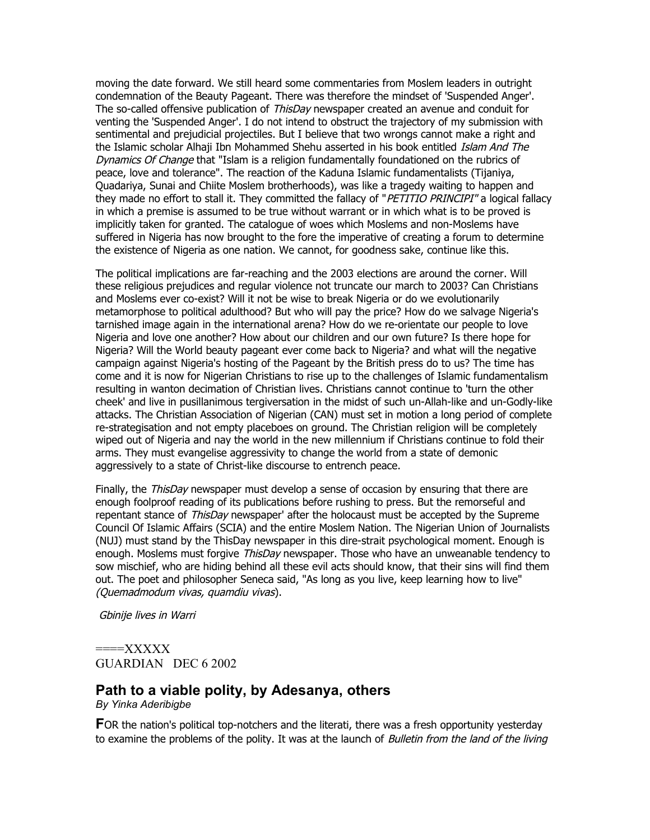moving the date forward. We still heard some commentaries from Moslem leaders in outright condemnation of the Beauty Pageant. There was therefore the mindset of 'Suspended Anger'. The so-called offensive publication of *ThisDay* newspaper created an avenue and conduit for venting the 'Suspended Anger'. I do not intend to obstruct the trajectory of my submission with sentimental and prejudicial projectiles. But I believe that two wrongs cannot make a right and the Islamic scholar Alhaji Ibn Mohammed Shehu asserted in his book entitled Islam And The Dynamics Of Change that "Islam is a religion fundamentally foundationed on the rubrics of peace, love and tolerance". The reaction of the Kaduna Islamic fundamentalists (Tijaniya, Quadariya, Sunai and Chiite Moslem brotherhoods), was like a tragedy waiting to happen and they made no effort to stall it. They committed the fallacy of "PETITIO PRINCIPI" a logical fallacy in which a premise is assumed to be true without warrant or in which what is to be proved is implicitly taken for granted. The catalogue of woes which Moslems and non-Moslems have suffered in Nigeria has now brought to the fore the imperative of creating a forum to determine the existence of Nigeria as one nation. We cannot, for goodness sake, continue like this.

The political implications are far-reaching and the 2003 elections are around the corner. Will these religious prejudices and regular violence not truncate our march to 2003? Can Christians and Moslems ever co-exist? Will it not be wise to break Nigeria or do we evolutionarily metamorphose to political adulthood? But who will pay the price? How do we salvage Nigeria's tarnished image again in the international arena? How do we re-orientate our people to love Nigeria and love one another? How about our children and our own future? Is there hope for Nigeria? Will the World beauty pageant ever come back to Nigeria? and what will the negative campaign against Nigeria's hosting of the Pageant by the British press do to us? The time has come and it is now for Nigerian Christians to rise up to the challenges of Islamic fundamentalism resulting in wanton decimation of Christian lives. Christians cannot continue to 'turn the other cheek' and live in pusillanimous tergiversation in the midst of such un-Allah-like and un-Godly-like attacks. The Christian Association of Nigerian (CAN) must set in motion a long period of complete re-strategisation and not empty placeboes on ground. The Christian religion will be completely wiped out of Nigeria and nay the world in the new millennium if Christians continue to fold their arms. They must evangelise aggressivity to change the world from a state of demonic aggressively to a state of Christ-like discourse to entrench peace.

Finally, the ThisDay newspaper must develop a sense of occasion by ensuring that there are enough foolproof reading of its publications before rushing to press. But the remorseful and repentant stance of *ThisDay* newspaper' after the holocaust must be accepted by the Supreme Council Of Islamic Affairs (SCIA) and the entire Moslem Nation. The Nigerian Union of Journalists (NUJ) must stand by the ThisDay newspaper in this dire-strait psychological moment. Enough is enough. Moslems must forgive ThisDay newspaper. Those who have an unweanable tendency to sow mischief, who are hiding behind all these evil acts should know, that their sins will find them out. The poet and philosopher Seneca said, "As long as you live, keep learning how to live" (Quemadmodum vivas, quamdiu vivas).

Gbinije lives in Warri

 $===XXXXXX$ GUARDIAN DEC 6 2002

### **Path to a viable polity, by Adesanya, others**

*By Yinka Aderibigbe*

**FOR** the nation's political top-notchers and the literati, there was a fresh opportunity yesterday to examine the problems of the polity. It was at the launch of *Bulletin from the land of the living*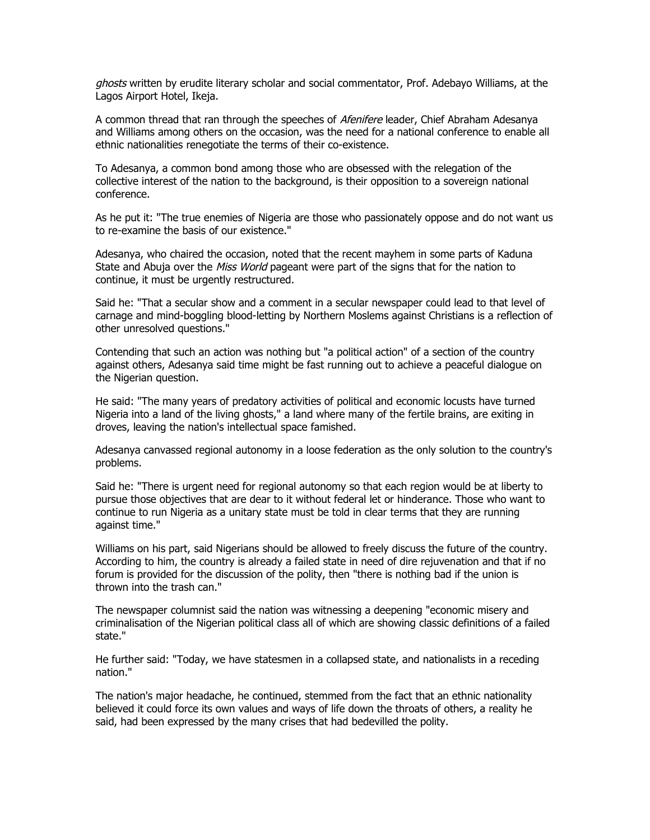ghosts written by erudite literary scholar and social commentator, Prof. Adebayo Williams, at the Lagos Airport Hotel, Ikeja.

A common thread that ran through the speeches of *Afenifere* leader, Chief Abraham Adesanya and Williams among others on the occasion, was the need for a national conference to enable all ethnic nationalities renegotiate the terms of their co-existence.

To Adesanya, a common bond among those who are obsessed with the relegation of the collective interest of the nation to the background, is their opposition to a sovereign national conference.

As he put it: "The true enemies of Nigeria are those who passionately oppose and do not want us to re-examine the basis of our existence."

Adesanya, who chaired the occasion, noted that the recent mayhem in some parts of Kaduna State and Abuja over the *Miss World* pageant were part of the signs that for the nation to continue, it must be urgently restructured.

Said he: "That a secular show and a comment in a secular newspaper could lead to that level of carnage and mind-boggling blood-letting by Northern Moslems against Christians is a reflection of other unresolved questions."

Contending that such an action was nothing but "a political action" of a section of the country against others, Adesanya said time might be fast running out to achieve a peaceful dialogue on the Nigerian question.

He said: "The many years of predatory activities of political and economic locusts have turned Nigeria into a land of the living ghosts," a land where many of the fertile brains, are exiting in droves, leaving the nation's intellectual space famished.

Adesanya canvassed regional autonomy in a loose federation as the only solution to the country's problems.

Said he: "There is urgent need for regional autonomy so that each region would be at liberty to pursue those objectives that are dear to it without federal let or hinderance. Those who want to continue to run Nigeria as a unitary state must be told in clear terms that they are running against time."

Williams on his part, said Nigerians should be allowed to freely discuss the future of the country. According to him, the country is already a failed state in need of dire rejuvenation and that if no forum is provided for the discussion of the polity, then "there is nothing bad if the union is thrown into the trash can."

The newspaper columnist said the nation was witnessing a deepening "economic misery and criminalisation of the Nigerian political class all of which are showing classic definitions of a failed state."

He further said: "Today, we have statesmen in a collapsed state, and nationalists in a receding nation."

The nation's major headache, he continued, stemmed from the fact that an ethnic nationality believed it could force its own values and ways of life down the throats of others, a reality he said, had been expressed by the many crises that had bedevilled the polity.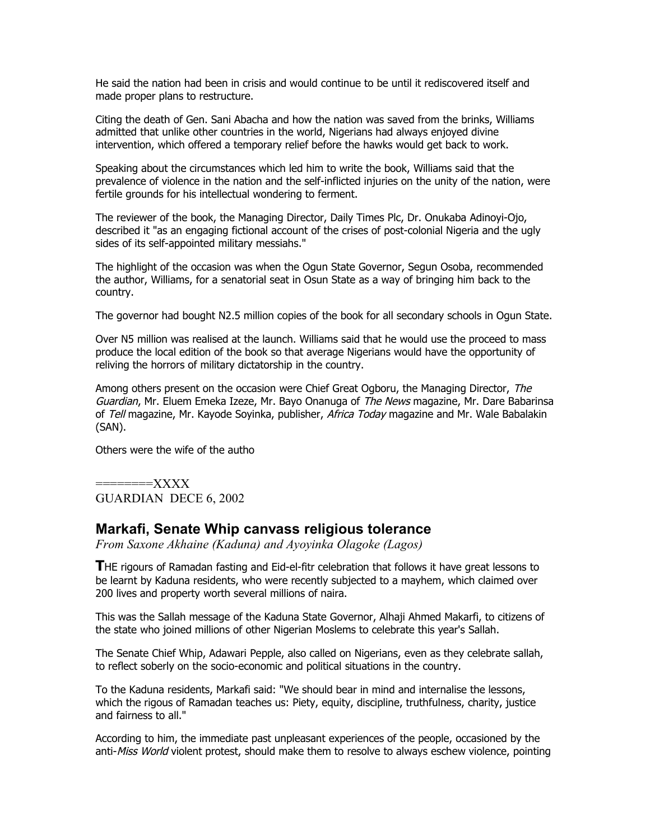He said the nation had been in crisis and would continue to be until it rediscovered itself and made proper plans to restructure.

Citing the death of Gen. Sani Abacha and how the nation was saved from the brinks, Williams admitted that unlike other countries in the world, Nigerians had always enjoyed divine intervention, which offered a temporary relief before the hawks would get back to work.

Speaking about the circumstances which led him to write the book, Williams said that the prevalence of violence in the nation and the self-inflicted injuries on the unity of the nation, were fertile grounds for his intellectual wondering to ferment.

The reviewer of the book, the Managing Director, Daily Times Plc, Dr. Onukaba Adinoyi-Ojo, described it "as an engaging fictional account of the crises of post-colonial Nigeria and the ugly sides of its self-appointed military messiahs."

The highlight of the occasion was when the Ogun State Governor, Segun Osoba, recommended the author, Williams, for a senatorial seat in Osun State as a way of bringing him back to the country.

The governor had bought N2.5 million copies of the book for all secondary schools in Ogun State.

Over N5 million was realised at the launch. Williams said that he would use the proceed to mass produce the local edition of the book so that average Nigerians would have the opportunity of reliving the horrors of military dictatorship in the country.

Among others present on the occasion were Chief Great Ogboru, the Managing Director, The Guardian, Mr. Eluem Emeka Izeze, Mr. Bayo Onanuga of The News magazine, Mr. Dare Babarinsa of Tell magazine, Mr. Kayode Soyinka, publisher, Africa Today magazine and Mr. Wale Babalakin (SAN).

Others were the wife of the autho

========XXXX GUARDIAN DECE 6, 2002

# **Markafi, Senate Whip canvass religious tolerance**

*From Saxone Akhaine (Kaduna) and Ayoyinka Olagoke (Lagos)*

**T**HE rigours of Ramadan fasting and Eid-el-fitr celebration that follows it have great lessons to be learnt by Kaduna residents, who were recently subjected to a mayhem, which claimed over 200 lives and property worth several millions of naira.

This was the Sallah message of the Kaduna State Governor, Alhaji Ahmed Makarfi, to citizens of the state who joined millions of other Nigerian Moslems to celebrate this year's Sallah.

The Senate Chief Whip, Adawari Pepple, also called on Nigerians, even as they celebrate sallah, to reflect soberly on the socio-economic and political situations in the country.

To the Kaduna residents, Markafi said: "We should bear in mind and internalise the lessons, which the rigous of Ramadan teaches us: Piety, equity, discipline, truthfulness, charity, justice and fairness to all."

According to him, the immediate past unpleasant experiences of the people, occasioned by the anti-Miss World violent protest, should make them to resolve to always eschew violence, pointing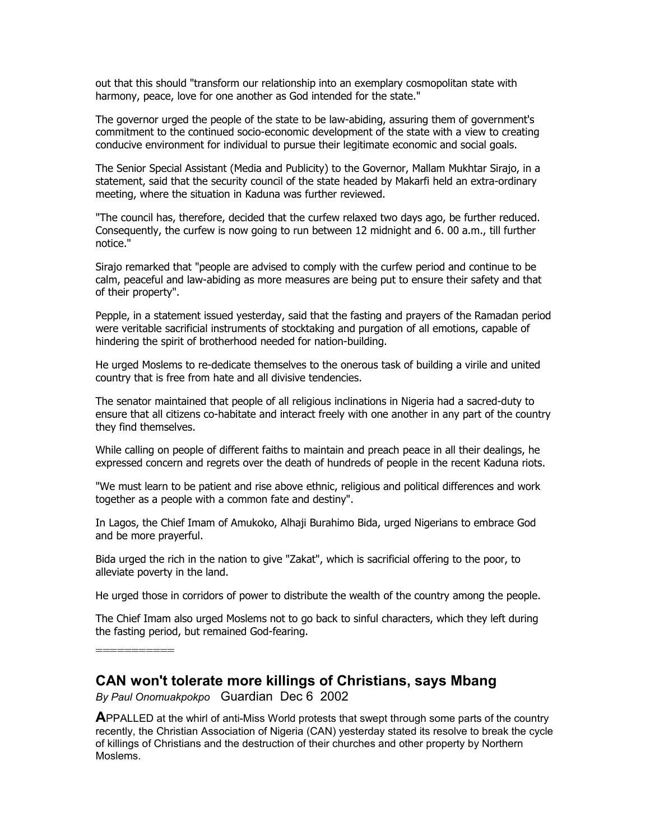out that this should "transform our relationship into an exemplary cosmopolitan state with harmony, peace, love for one another as God intended for the state."

The governor urged the people of the state to be law-abiding, assuring them of government's commitment to the continued socio-economic development of the state with a view to creating conducive environment for individual to pursue their legitimate economic and social goals.

The Senior Special Assistant (Media and Publicity) to the Governor, Mallam Mukhtar Sirajo, in a statement, said that the security council of the state headed by Makarfi held an extra-ordinary meeting, where the situation in Kaduna was further reviewed.

"The council has, therefore, decided that the curfew relaxed two days ago, be further reduced. Consequently, the curfew is now going to run between 12 midnight and 6. 00 a.m., till further notice."

Sirajo remarked that "people are advised to comply with the curfew period and continue to be calm, peaceful and law-abiding as more measures are being put to ensure their safety and that of their property".

Pepple, in a statement issued yesterday, said that the fasting and prayers of the Ramadan period were veritable sacrificial instruments of stocktaking and purgation of all emotions, capable of hindering the spirit of brotherhood needed for nation-building.

He urged Moslems to re-dedicate themselves to the onerous task of building a virile and united country that is free from hate and all divisive tendencies.

The senator maintained that people of all religious inclinations in Nigeria had a sacred-duty to ensure that all citizens co-habitate and interact freely with one another in any part of the country they find themselves.

While calling on people of different faiths to maintain and preach peace in all their dealings, he expressed concern and regrets over the death of hundreds of people in the recent Kaduna riots.

"We must learn to be patient and rise above ethnic, religious and political differences and work together as a people with a common fate and destiny".

In Lagos, the Chief Imam of Amukoko, Alhaji Burahimo Bida, urged Nigerians to embrace God and be more prayerful.

Bida urged the rich in the nation to give "Zakat", which is sacrificial offering to the poor, to alleviate poverty in the land.

He urged those in corridors of power to distribute the wealth of the country among the people.

The Chief Imam also urged Moslems not to go back to sinful characters, which they left during the fasting period, but remained God-fearing.

===========

# **CAN won't tolerate more killings of Christians, says Mbang**

*By Paul Onomuakpokpo* Guardian Dec 6 2002

**A**PPALLED at the whirl of anti-Miss World protests that swept through some parts of the country recently, the Christian Association of Nigeria (CAN) yesterday stated its resolve to break the cycle of killings of Christians and the destruction of their churches and other property by Northern Moslems.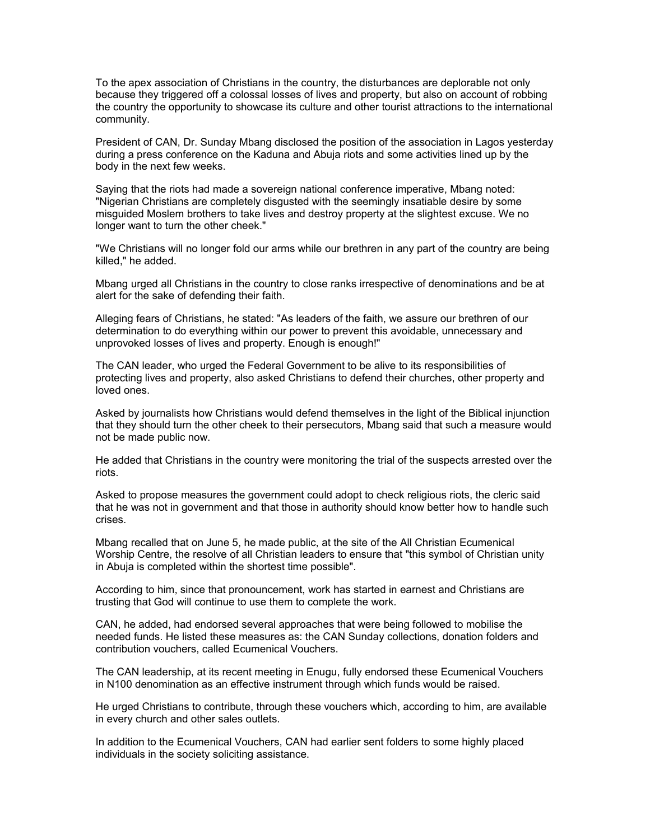To the apex association of Christians in the country, the disturbances are deplorable not only because they triggered off a colossal losses of lives and property, but also on account of robbing the country the opportunity to showcase its culture and other tourist attractions to the international community.

President of CAN, Dr. Sunday Mbang disclosed the position of the association in Lagos yesterday during a press conference on the Kaduna and Abuja riots and some activities lined up by the body in the next few weeks.

Saying that the riots had made a sovereign national conference imperative, Mbang noted: "Nigerian Christians are completely disgusted with the seemingly insatiable desire by some misguided Moslem brothers to take lives and destroy property at the slightest excuse. We no longer want to turn the other cheek."

"We Christians will no longer fold our arms while our brethren in any part of the country are being killed," he added.

Mbang urged all Christians in the country to close ranks irrespective of denominations and be at alert for the sake of defending their faith.

Alleging fears of Christians, he stated: "As leaders of the faith, we assure our brethren of our determination to do everything within our power to prevent this avoidable, unnecessary and unprovoked losses of lives and property. Enough is enough!"

The CAN leader, who urged the Federal Government to be alive to its responsibilities of protecting lives and property, also asked Christians to defend their churches, other property and loved ones.

Asked by journalists how Christians would defend themselves in the light of the Biblical injunction that they should turn the other cheek to their persecutors, Mbang said that such a measure would not be made public now.

He added that Christians in the country were monitoring the trial of the suspects arrested over the riots.

Asked to propose measures the government could adopt to check religious riots, the cleric said that he was not in government and that those in authority should know better how to handle such crises.

Mbang recalled that on June 5, he made public, at the site of the All Christian Ecumenical Worship Centre, the resolve of all Christian leaders to ensure that "this symbol of Christian unity in Abuja is completed within the shortest time possible".

According to him, since that pronouncement, work has started in earnest and Christians are trusting that God will continue to use them to complete the work.

CAN, he added, had endorsed several approaches that were being followed to mobilise the needed funds. He listed these measures as: the CAN Sunday collections, donation folders and contribution vouchers, called Ecumenical Vouchers.

The CAN leadership, at its recent meeting in Enugu, fully endorsed these Ecumenical Vouchers in N100 denomination as an effective instrument through which funds would be raised.

He urged Christians to contribute, through these vouchers which, according to him, are available in every church and other sales outlets.

In addition to the Ecumenical Vouchers, CAN had earlier sent folders to some highly placed individuals in the society soliciting assistance.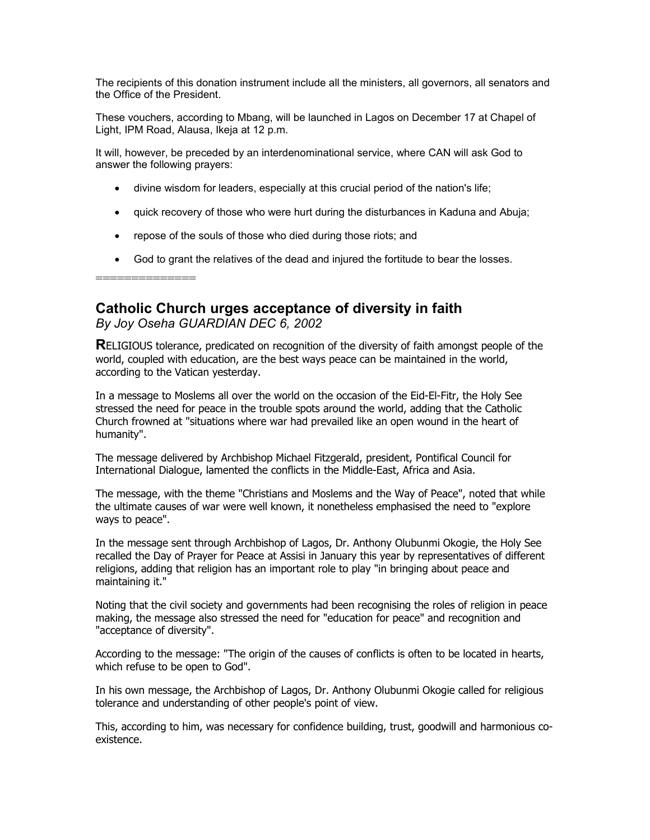The recipients of this donation instrument include all the ministers, all governors, all senators and the Office of the President.

These vouchers, according to Mbang, will be launched in Lagos on December 17 at Chapel of Light, IPM Road, Alausa, Ikeja at 12 p.m.

It will, however, be preceded by an interdenominational service, where CAN will ask God to answer the following prayers:

- divine wisdom for leaders, especially at this crucial period of the nation's life;
- quick recovery of those who were hurt during the disturbances in Kaduna and Abuja;
- repose of the souls of those who died during those riots; and
- God to grant the relatives of the dead and injured the fortitude to bear the losses.

==============

# **Catholic Church urges acceptance of diversity in faith**

*By Joy Oseha GUARDIAN DEC 6, 2002*

**R**ELIGIOUS tolerance, predicated on recognition of the diversity of faith amongst people of the world, coupled with education, are the best ways peace can be maintained in the world, according to the Vatican yesterday.

In a message to Moslems all over the world on the occasion of the Eid-El-Fitr, the Holy See stressed the need for peace in the trouble spots around the world, adding that the Catholic Church frowned at "situations where war had prevailed like an open wound in the heart of humanity".

The message delivered by Archbishop Michael Fitzgerald, president, Pontifical Council for International Dialogue, lamented the conflicts in the Middle-East, Africa and Asia.

The message, with the theme "Christians and Moslems and the Way of Peace", noted that while the ultimate causes of war were well known, it nonetheless emphasised the need to "explore ways to peace".

In the message sent through Archbishop of Lagos, Dr. Anthony Olubunmi Okogie, the Holy See recalled the Day of Prayer for Peace at Assisi in January this year by representatives of different religions, adding that religion has an important role to play "in bringing about peace and maintaining it."

Noting that the civil society and governments had been recognising the roles of religion in peace making, the message also stressed the need for "education for peace" and recognition and "acceptance of diversity".

According to the message: "The origin of the causes of conflicts is often to be located in hearts, which refuse to be open to God".

In his own message, the Archbishop of Lagos, Dr. Anthony Olubunmi Okogie called for religious tolerance and understanding of other people's point of view.

This, according to him, was necessary for confidence building, trust, goodwill and harmonious coexistence.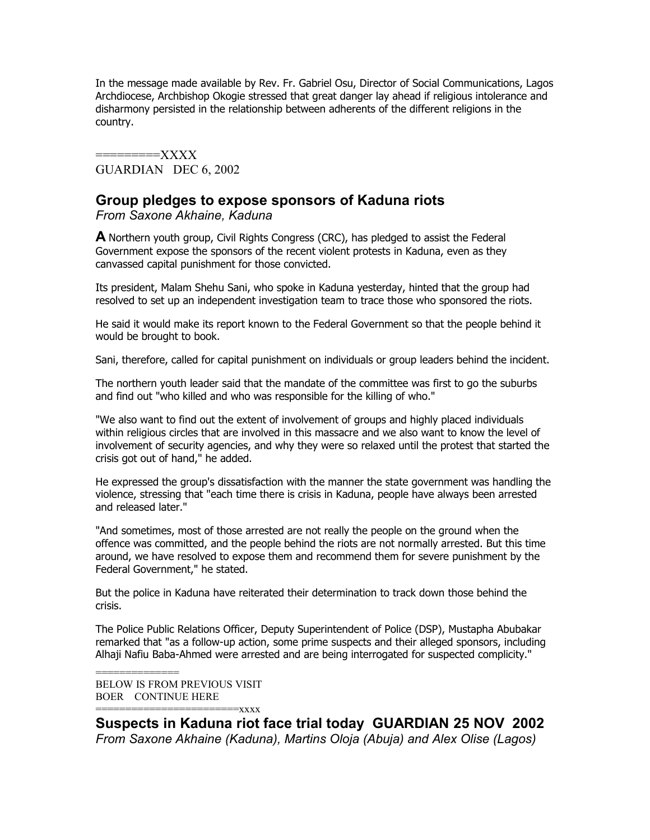In the message made available by Rev. Fr. Gabriel Osu, Director of Social Communications, Lagos Archdiocese, Archbishop Okogie stressed that great danger lay ahead if religious intolerance and disharmony persisted in the relationship between adherents of the different religions in the country.

=========XXXX GUARDIAN DEC 6, 2002

# **Group pledges to expose sponsors of Kaduna riots**

*From Saxone Akhaine, Kaduna*

**A** Northern youth group, Civil Rights Congress (CRC), has pledged to assist the Federal Government expose the sponsors of the recent violent protests in Kaduna, even as they canvassed capital punishment for those convicted.

Its president, Malam Shehu Sani, who spoke in Kaduna yesterday, hinted that the group had resolved to set up an independent investigation team to trace those who sponsored the riots.

He said it would make its report known to the Federal Government so that the people behind it would be brought to book.

Sani, therefore, called for capital punishment on individuals or group leaders behind the incident.

The northern youth leader said that the mandate of the committee was first to go the suburbs and find out "who killed and who was responsible for the killing of who."

"We also want to find out the extent of involvement of groups and highly placed individuals within religious circles that are involved in this massacre and we also want to know the level of involvement of security agencies, and why they were so relaxed until the protest that started the crisis got out of hand," he added.

He expressed the group's dissatisfaction with the manner the state government was handling the violence, stressing that "each time there is crisis in Kaduna, people have always been arrested and released later."

"And sometimes, most of those arrested are not really the people on the ground when the offence was committed, and the people behind the riots are not normally arrested. But this time around, we have resolved to expose them and recommend them for severe punishment by the Federal Government," he stated.

But the police in Kaduna have reiterated their determination to track down those behind the crisis.

The Police Public Relations Officer, Deputy Superintendent of Police (DSP), Mustapha Abubakar remarked that "as a follow-up action, some prime suspects and their alleged sponsors, including Alhaji Nafiu Baba-Ahmed were arrested and are being interrogated for suspected complicity."

=============== BELOW IS FROM PREVIOUS VISIT BOER CONTINUE HERE ========================xxxx

**Suspects in Kaduna riot face trial today GUARDIAN 25 NOV 2002** *From Saxone Akhaine (Kaduna), Martins Oloja (Abuja) and Alex Olise (Lagos)*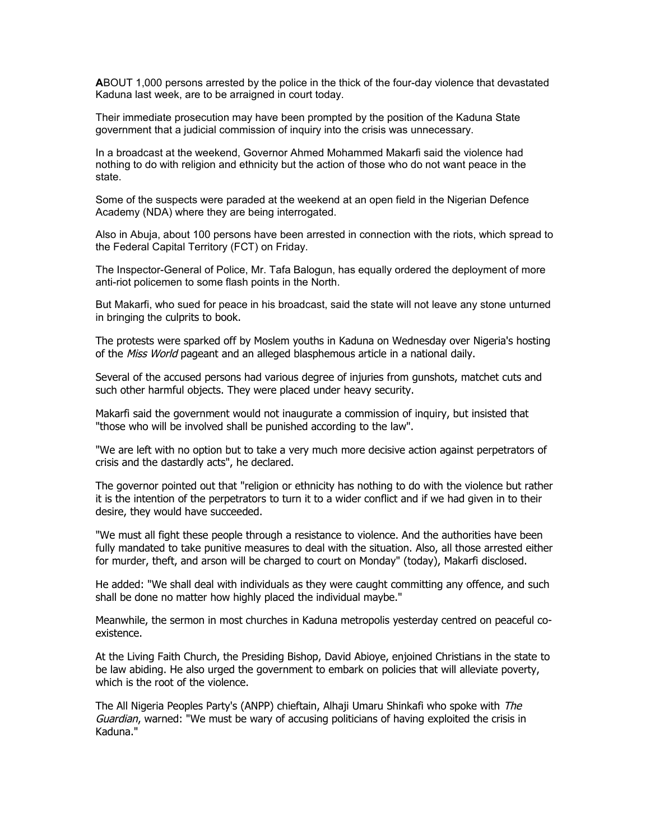**A**BOUT 1,000 persons arrested by the police in the thick of the four-day violence that devastated Kaduna last week, are to be arraigned in court today.

Their immediate prosecution may have been prompted by the position of the Kaduna State government that a judicial commission of inquiry into the crisis was unnecessary.

In a broadcast at the weekend, Governor Ahmed Mohammed Makarfi said the violence had nothing to do with religion and ethnicity but the action of those who do not want peace in the state.

Some of the suspects were paraded at the weekend at an open field in the Nigerian Defence Academy (NDA) where they are being interrogated.

Also in Abuja, about 100 persons have been arrested in connection with the riots, which spread to the Federal Capital Territory (FCT) on Friday.

The Inspector-General of Police, Mr. Tafa Balogun, has equally ordered the deployment of more anti-riot policemen to some flash points in the North.

But Makarfi, who sued for peace in his broadcast, said the state will not leave any stone unturned in bringing the culprits to book.

The protests were sparked off by Moslem youths in Kaduna on Wednesday over Nigeria's hosting of the Miss World pageant and an alleged blasphemous article in a national daily.

Several of the accused persons had various degree of injuries from gunshots, matchet cuts and such other harmful objects. They were placed under heavy security.

Makarfi said the government would not inaugurate a commission of inquiry, but insisted that "those who will be involved shall be punished according to the law".

"We are left with no option but to take a very much more decisive action against perpetrators of crisis and the dastardly acts", he declared.

The governor pointed out that "religion or ethnicity has nothing to do with the violence but rather it is the intention of the perpetrators to turn it to a wider conflict and if we had given in to their desire, they would have succeeded.

"We must all fight these people through a resistance to violence. And the authorities have been fully mandated to take punitive measures to deal with the situation. Also, all those arrested either for murder, theft, and arson will be charged to court on Monday" (today), Makarfi disclosed.

He added: "We shall deal with individuals as they were caught committing any offence, and such shall be done no matter how highly placed the individual maybe."

Meanwhile, the sermon in most churches in Kaduna metropolis yesterday centred on peaceful coexistence.

At the Living Faith Church, the Presiding Bishop, David Abioye, enjoined Christians in the state to be law abiding. He also urged the government to embark on policies that will alleviate poverty, which is the root of the violence.

The All Nigeria Peoples Party's (ANPP) chieftain, Alhaji Umaru Shinkafi who spoke with The Guardian, warned: "We must be wary of accusing politicians of having exploited the crisis in Kaduna."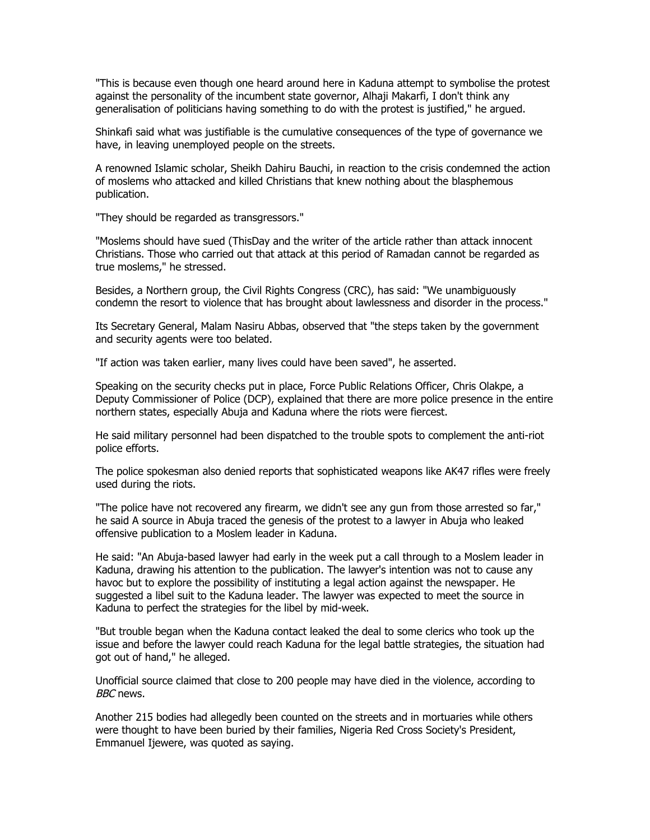"This is because even though one heard around here in Kaduna attempt to symbolise the protest against the personality of the incumbent state governor, Alhaji Makarfi, I don't think any generalisation of politicians having something to do with the protest is justified," he argued.

Shinkafi said what was justifiable is the cumulative consequences of the type of governance we have, in leaving unemployed people on the streets.

A renowned Islamic scholar, Sheikh Dahiru Bauchi, in reaction to the crisis condemned the action of moslems who attacked and killed Christians that knew nothing about the blasphemous publication.

"They should be regarded as transgressors."

"Moslems should have sued (ThisDay and the writer of the article rather than attack innocent Christians. Those who carried out that attack at this period of Ramadan cannot be regarded as true moslems," he stressed.

Besides, a Northern group, the Civil Rights Congress (CRC), has said: "We unambiguously condemn the resort to violence that has brought about lawlessness and disorder in the process."

Its Secretary General, Malam Nasiru Abbas, observed that "the steps taken by the government and security agents were too belated.

"If action was taken earlier, many lives could have been saved", he asserted.

Speaking on the security checks put in place, Force Public Relations Officer, Chris Olakpe, a Deputy Commissioner of Police (DCP), explained that there are more police presence in the entire northern states, especially Abuja and Kaduna where the riots were fiercest.

He said military personnel had been dispatched to the trouble spots to complement the anti-riot police efforts.

The police spokesman also denied reports that sophisticated weapons like AK47 rifles were freely used during the riots.

"The police have not recovered any firearm, we didn't see any gun from those arrested so far," he said A source in Abuja traced the genesis of the protest to a lawyer in Abuja who leaked offensive publication to a Moslem leader in Kaduna.

He said: "An Abuja-based lawyer had early in the week put a call through to a Moslem leader in Kaduna, drawing his attention to the publication. The lawyer's intention was not to cause any havoc but to explore the possibility of instituting a legal action against the newspaper. He suggested a libel suit to the Kaduna leader. The lawyer was expected to meet the source in Kaduna to perfect the strategies for the libel by mid-week.

"But trouble began when the Kaduna contact leaked the deal to some clerics who took up the issue and before the lawyer could reach Kaduna for the legal battle strategies, the situation had got out of hand," he alleged.

Unofficial source claimed that close to 200 people may have died in the violence, according to BBC news.

Another 215 bodies had allegedly been counted on the streets and in mortuaries while others were thought to have been buried by their families, Nigeria Red Cross Society's President, Emmanuel Ijewere, was quoted as saying.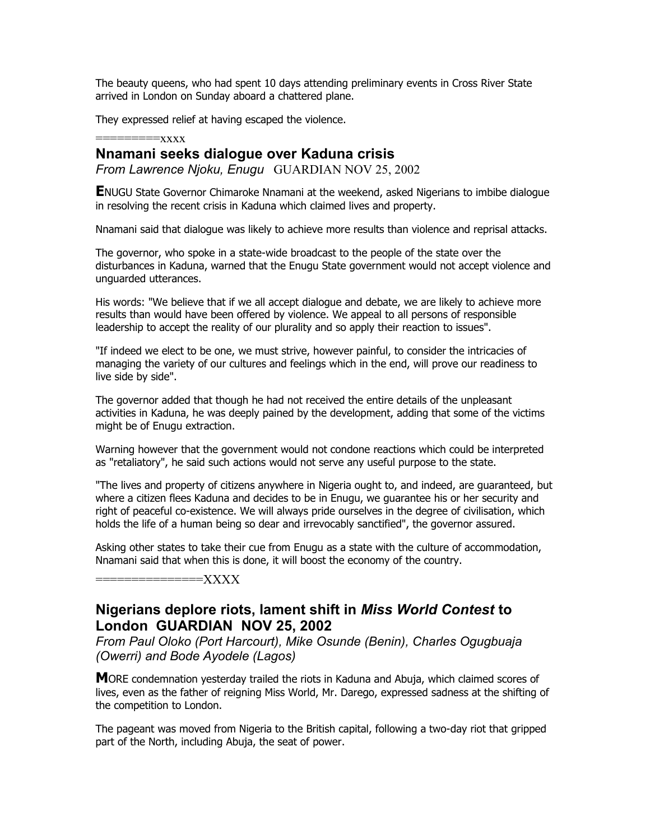The beauty queens, who had spent 10 days attending preliminary events in Cross River State arrived in London on Sunday aboard a chattered plane.

They expressed relief at having escaped the violence.

## $=x$  $xx$  $x$

## **Nnamani seeks dialogue over Kaduna crisis**

*From Lawrence Njoku, Enugu* GUARDIAN NOV 25, 2002

**E**NUGU State Governor Chimaroke Nnamani at the weekend, asked Nigerians to imbibe dialogue in resolving the recent crisis in Kaduna which claimed lives and property.

Nnamani said that dialogue was likely to achieve more results than violence and reprisal attacks.

The governor, who spoke in a state-wide broadcast to the people of the state over the disturbances in Kaduna, warned that the Enugu State government would not accept violence and unguarded utterances.

His words: "We believe that if we all accept dialogue and debate, we are likely to achieve more results than would have been offered by violence. We appeal to all persons of responsible leadership to accept the reality of our plurality and so apply their reaction to issues".

"If indeed we elect to be one, we must strive, however painful, to consider the intricacies of managing the variety of our cultures and feelings which in the end, will prove our readiness to live side by side".

The governor added that though he had not received the entire details of the unpleasant activities in Kaduna, he was deeply pained by the development, adding that some of the victims might be of Enugu extraction.

Warning however that the government would not condone reactions which could be interpreted as "retaliatory", he said such actions would not serve any useful purpose to the state.

"The lives and property of citizens anywhere in Nigeria ought to, and indeed, are guaranteed, but where a citizen flees Kaduna and decides to be in Enugu, we guarantee his or her security and right of peaceful co-existence. We will always pride ourselves in the degree of civilisation, which holds the life of a human being so dear and irrevocably sanctified", the governor assured.

Asking other states to take their cue from Enugu as a state with the culture of accommodation, Nnamani said that when this is done, it will boost the economy of the country.

===============XXXX

# **Nigerians deplore riots, lament shift in** *Miss World Contest* **to London GUARDIAN NOV 25, 2002**

*From Paul Oloko (Port Harcourt), Mike Osunde (Benin), Charles Ogugbuaja (Owerri) and Bode Ayodele (Lagos)*

**M**ORE condemnation yesterday trailed the riots in Kaduna and Abuja, which claimed scores of lives, even as the father of reigning Miss World, Mr. Darego, expressed sadness at the shifting of the competition to London.

The pageant was moved from Nigeria to the British capital, following a two-day riot that gripped part of the North, including Abuja, the seat of power.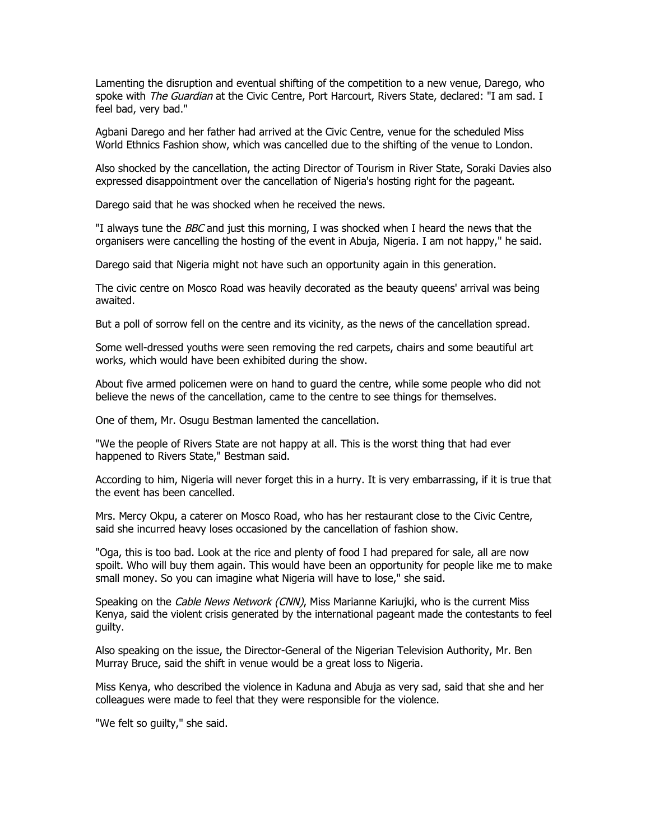Lamenting the disruption and eventual shifting of the competition to a new venue, Darego, who spoke with *The Guardian* at the Civic Centre, Port Harcourt, Rivers State, declared: "I am sad. I feel bad, very bad."

Agbani Darego and her father had arrived at the Civic Centre, venue for the scheduled Miss World Ethnics Fashion show, which was cancelled due to the shifting of the venue to London.

Also shocked by the cancellation, the acting Director of Tourism in River State, Soraki Davies also expressed disappointment over the cancellation of Nigeria's hosting right for the pageant.

Darego said that he was shocked when he received the news.

"I always tune the *BBC* and just this morning, I was shocked when I heard the news that the organisers were cancelling the hosting of the event in Abuja, Nigeria. I am not happy," he said.

Darego said that Nigeria might not have such an opportunity again in this generation.

The civic centre on Mosco Road was heavily decorated as the beauty queens' arrival was being awaited.

But a poll of sorrow fell on the centre and its vicinity, as the news of the cancellation spread.

Some well-dressed youths were seen removing the red carpets, chairs and some beautiful art works, which would have been exhibited during the show.

About five armed policemen were on hand to guard the centre, while some people who did not believe the news of the cancellation, came to the centre to see things for themselves.

One of them, Mr. Osugu Bestman lamented the cancellation.

"We the people of Rivers State are not happy at all. This is the worst thing that had ever happened to Rivers State," Bestman said.

According to him, Nigeria will never forget this in a hurry. It is very embarrassing, if it is true that the event has been cancelled.

Mrs. Mercy Okpu, a caterer on Mosco Road, who has her restaurant close to the Civic Centre, said she incurred heavy loses occasioned by the cancellation of fashion show.

"Oga, this is too bad. Look at the rice and plenty of food I had prepared for sale, all are now spoilt. Who will buy them again. This would have been an opportunity for people like me to make small money. So you can imagine what Nigeria will have to lose," she said.

Speaking on the Cable News Network (CNN), Miss Marianne Kariujki, who is the current Miss Kenya, said the violent crisis generated by the international pageant made the contestants to feel guilty.

Also speaking on the issue, the Director-General of the Nigerian Television Authority, Mr. Ben Murray Bruce, said the shift in venue would be a great loss to Nigeria.

Miss Kenya, who described the violence in Kaduna and Abuja as very sad, said that she and her colleagues were made to feel that they were responsible for the violence.

"We felt so guilty," she said.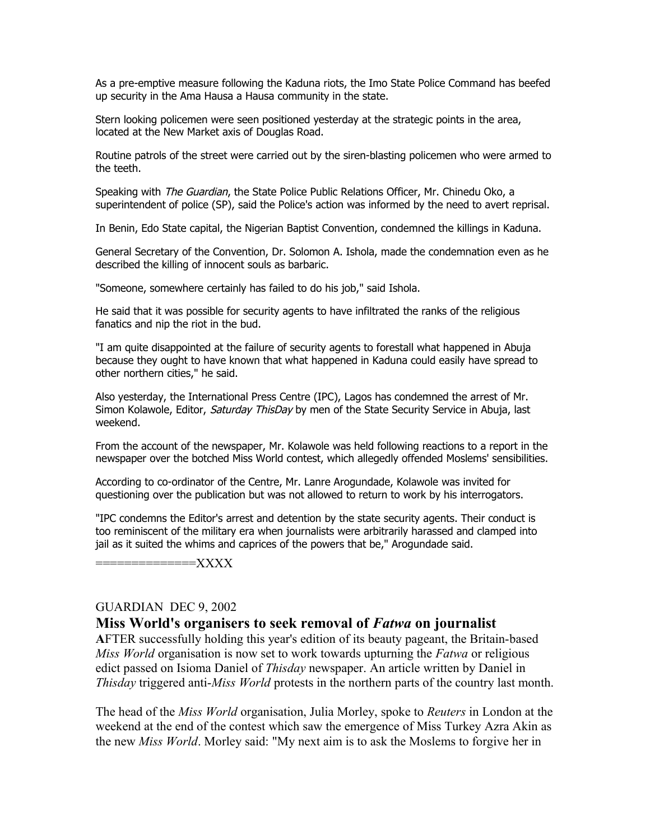As a pre-emptive measure following the Kaduna riots, the Imo State Police Command has beefed up security in the Ama Hausa a Hausa community in the state.

Stern looking policemen were seen positioned yesterday at the strategic points in the area, located at the New Market axis of Douglas Road.

Routine patrols of the street were carried out by the siren-blasting policemen who were armed to the teeth.

Speaking with The Guardian, the State Police Public Relations Officer, Mr. Chinedu Oko, a superintendent of police (SP), said the Police's action was informed by the need to avert reprisal.

In Benin, Edo State capital, the Nigerian Baptist Convention, condemned the killings in Kaduna.

General Secretary of the Convention, Dr. Solomon A. Ishola, made the condemnation even as he described the killing of innocent souls as barbaric.

"Someone, somewhere certainly has failed to do his job," said Ishola.

He said that it was possible for security agents to have infiltrated the ranks of the religious fanatics and nip the riot in the bud.

"I am quite disappointed at the failure of security agents to forestall what happened in Abuja because they ought to have known that what happened in Kaduna could easily have spread to other northern cities," he said.

Also yesterday, the International Press Centre (IPC), Lagos has condemned the arrest of Mr. Simon Kolawole, Editor, Saturday ThisDay by men of the State Security Service in Abuja, last weekend.

From the account of the newspaper, Mr. Kolawole was held following reactions to a report in the newspaper over the botched Miss World contest, which allegedly offended Moslems' sensibilities.

According to co-ordinator of the Centre, Mr. Lanre Arogundade, Kolawole was invited for questioning over the publication but was not allowed to return to work by his interrogators.

"IPC condemns the Editor's arrest and detention by the state security agents. Their conduct is too reminiscent of the military era when journalists were arbitrarily harassed and clamped into jail as it suited the whims and caprices of the powers that be," Arogundade said.

==============XXXX

### GUARDIAN DEC 9, 2002

### **Miss World's organisers to seek removal of** *Fatwa* **on journalist**

**A**FTER successfully holding this year's edition of its beauty pageant, the Britain-based *Miss World* organisation is now set to work towards upturning the *Fatwa* or religious edict passed on Isioma Daniel of *Thisday* newspaper. An article written by Daniel in *Thisday* triggered anti-*Miss World* protests in the northern parts of the country last month.

The head of the *Miss World* organisation, Julia Morley, spoke to *Reuters* in London at the weekend at the end of the contest which saw the emergence of Miss Turkey Azra Akin as the new *Miss World*. Morley said: "My next aim is to ask the Moslems to forgive her in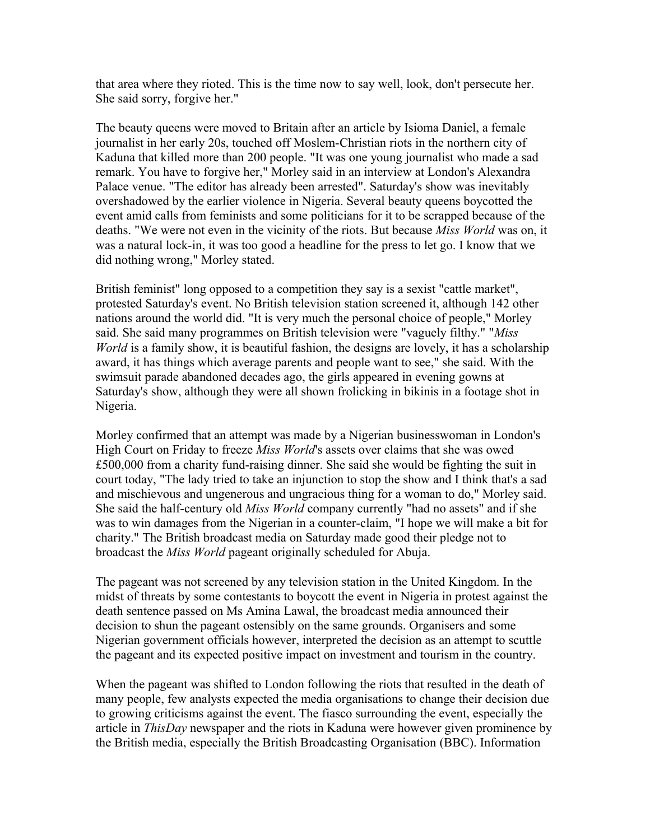that area where they rioted. This is the time now to say well, look, don't persecute her. She said sorry, forgive her."

The beauty queens were moved to Britain after an article by Isioma Daniel, a female journalist in her early 20s, touched off Moslem-Christian riots in the northern city of Kaduna that killed more than 200 people. "It was one young journalist who made a sad remark. You have to forgive her," Morley said in an interview at London's Alexandra Palace venue. "The editor has already been arrested". Saturday's show was inevitably overshadowed by the earlier violence in Nigeria. Several beauty queens boycotted the event amid calls from feminists and some politicians for it to be scrapped because of the deaths. "We were not even in the vicinity of the riots. But because *Miss World* was on, it was a natural lock-in, it was too good a headline for the press to let go. I know that we did nothing wrong," Morley stated.

British feminist" long opposed to a competition they say is a sexist "cattle market", protested Saturday's event. No British television station screened it, although 142 other nations around the world did. "It is very much the personal choice of people," Morley said. She said many programmes on British television were "vaguely filthy." "*Miss World* is a family show, it is beautiful fashion, the designs are lovely, it has a scholarship award, it has things which average parents and people want to see," she said. With the swimsuit parade abandoned decades ago, the girls appeared in evening gowns at Saturday's show, although they were all shown frolicking in bikinis in a footage shot in Nigeria.

Morley confirmed that an attempt was made by a Nigerian businesswoman in London's High Court on Friday to freeze *Miss World*'s assets over claims that she was owed £500,000 from a charity fund-raising dinner. She said she would be fighting the suit in court today, "The lady tried to take an injunction to stop the show and I think that's a sad and mischievous and ungenerous and ungracious thing for a woman to do," Morley said. She said the half-century old *Miss World* company currently "had no assets" and if she was to win damages from the Nigerian in a counter-claim, "I hope we will make a bit for charity." The British broadcast media on Saturday made good their pledge not to broadcast the *Miss World* pageant originally scheduled for Abuja.

The pageant was not screened by any television station in the United Kingdom. In the midst of threats by some contestants to boycott the event in Nigeria in protest against the death sentence passed on Ms Amina Lawal, the broadcast media announced their decision to shun the pageant ostensibly on the same grounds. Organisers and some Nigerian government officials however, interpreted the decision as an attempt to scuttle the pageant and its expected positive impact on investment and tourism in the country.

When the pageant was shifted to London following the riots that resulted in the death of many people, few analysts expected the media organisations to change their decision due to growing criticisms against the event. The fiasco surrounding the event, especially the article in *ThisDay* newspaper and the riots in Kaduna were however given prominence by the British media, especially the British Broadcasting Organisation (BBC). Information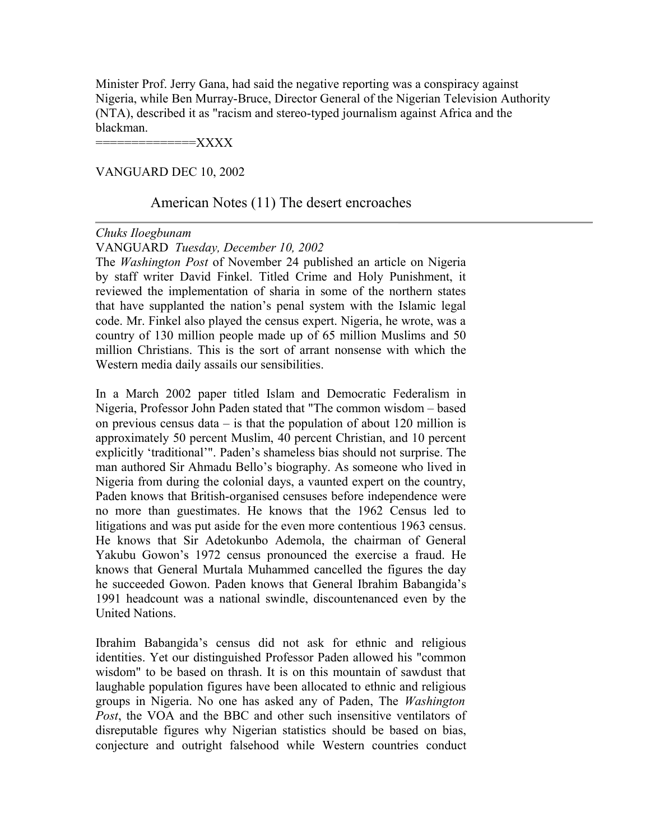Minister Prof. Jerry Gana, had said the negative reporting was a conspiracy against Nigeria, while Ben Murray-Bruce, Director General of the Nigerian Television Authority (NTA), described it as "racism and stereo-typed journalism against Africa and the blackman.

 $=\!\!\mathrm{XXX}$ 

### VANGUARD DEC 10, 2002

## American Notes (11) The desert encroaches

### *Chuks Iloegbunam*

### VANGUARD *Tuesday, December 10, 2002*

The *Washington Post* of November 24 published an article on Nigeria by staff writer David Finkel. Titled Crime and Holy Punishment, it reviewed the implementation of sharia in some of the northern states that have supplanted the nation's penal system with the Islamic legal code. Mr. Finkel also played the census expert. Nigeria, he wrote, was a country of 130 million people made up of 65 million Muslims and 50 million Christians. This is the sort of arrant nonsense with which the Western media daily assails our sensibilities.

In a March 2002 paper titled Islam and Democratic Federalism in Nigeria, Professor John Paden stated that "The common wisdom – based on previous census data – is that the population of about 120 million is approximately 50 percent Muslim, 40 percent Christian, and 10 percent explicitly 'traditional'". Paden's shameless bias should not surprise. The man authored Sir Ahmadu Bello's biography. As someone who lived in Nigeria from during the colonial days, a vaunted expert on the country, Paden knows that British-organised censuses before independence were no more than guestimates. He knows that the 1962 Census led to litigations and was put aside for the even more contentious 1963 census. He knows that Sir Adetokunbo Ademola, the chairman of General Yakubu Gowon's 1972 census pronounced the exercise a fraud. He knows that General Murtala Muhammed cancelled the figures the day he succeeded Gowon. Paden knows that General Ibrahim Babangida's 1991 headcount was a national swindle, discountenanced even by the United Nations.

Ibrahim Babangida's census did not ask for ethnic and religious identities. Yet our distinguished Professor Paden allowed his "common wisdom" to be based on thrash. It is on this mountain of sawdust that laughable population figures have been allocated to ethnic and religious groups in Nigeria. No one has asked any of Paden, The *Washington Post*, the VOA and the BBC and other such insensitive ventilators of disreputable figures why Nigerian statistics should be based on bias, conjecture and outright falsehood while Western countries conduct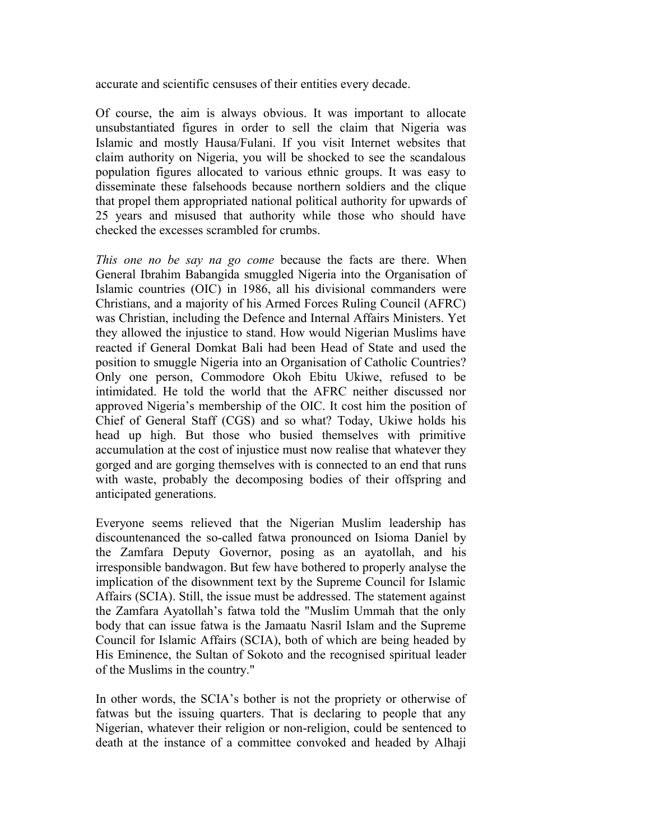accurate and scientific censuses of their entities every decade.

Of course, the aim is always obvious. It was important to allocate unsubstantiated figures in order to sell the claim that Nigeria was Islamic and mostly Hausa/Fulani. If you visit Internet websites that claim authority on Nigeria, you will be shocked to see the scandalous population figures allocated to various ethnic groups. It was easy to disseminate these falsehoods because northern soldiers and the clique that propel them appropriated national political authority for upwards of 25 years and misused that authority while those who should have checked the excesses scrambled for crumbs.

*This one no be say na go come* because the facts are there. When General Ibrahim Babangida smuggled Nigeria into the Organisation of Islamic countries (OIC) in 1986, all his divisional commanders were Christians, and a majority of his Armed Forces Ruling Council (AFRC) was Christian, including the Defence and Internal Affairs Ministers. Yet they allowed the injustice to stand. How would Nigerian Muslims have reacted if General Domkat Bali had been Head of State and used the position to smuggle Nigeria into an Organisation of Catholic Countries? Only one person, Commodore Okoh Ebitu Ukiwe, refused to be intimidated. He told the world that the AFRC neither discussed nor approved Nigeria's membership of the OIC. It cost him the position of Chief of General Staff (CGS) and so what? Today, Ukiwe holds his head up high. But those who busied themselves with primitive accumulation at the cost of injustice must now realise that whatever they gorged and are gorging themselves with is connected to an end that runs with waste, probably the decomposing bodies of their offspring and anticipated generations.

Everyone seems relieved that the Nigerian Muslim leadership has discountenanced the so-called fatwa pronounced on Isioma Daniel by the Zamfara Deputy Governor, posing as an ayatollah, and his irresponsible bandwagon. But few have bothered to properly analyse the implication of the disownment text by the Supreme Council for Islamic Affairs (SCIA). Still, the issue must be addressed. The statement against the Zamfara Ayatollah's fatwa told the "Muslim Ummah that the only body that can issue fatwa is the Jamaatu Nasril Islam and the Supreme Council for Islamic Affairs (SCIA), both of which are being headed by His Eminence, the Sultan of Sokoto and the recognised spiritual leader of the Muslims in the country."

In other words, the SCIA's bother is not the propriety or otherwise of fatwas but the issuing quarters. That is declaring to people that any Nigerian, whatever their religion or non-religion, could be sentenced to death at the instance of a committee convoked and headed by Alhaji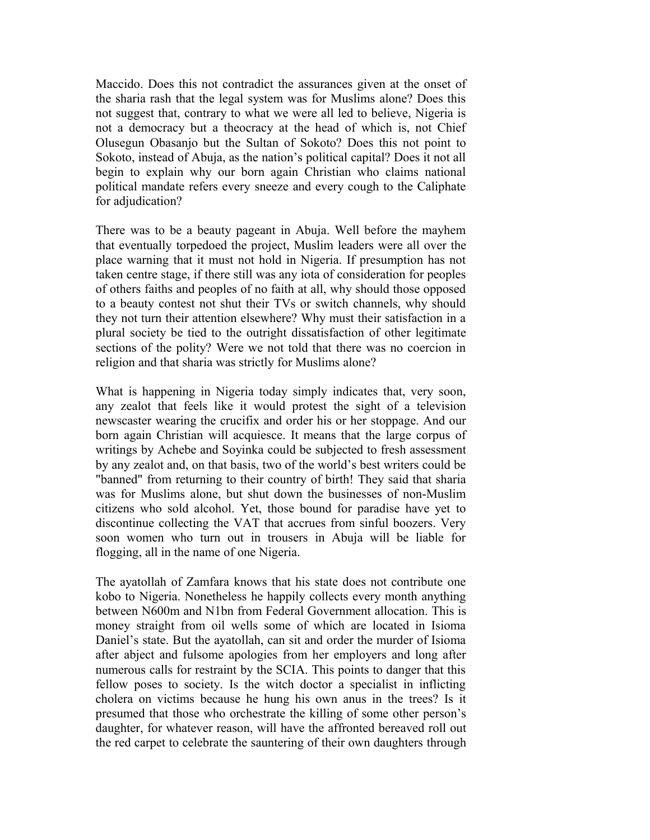Maccido. Does this not contradict the assurances given at the onset of the sharia rash that the legal system was for Muslims alone? Does this not suggest that, contrary to what we were all led to believe, Nigeria is not a democracy but a theocracy at the head of which is, not Chief Olusegun Obasanjo but the Sultan of Sokoto? Does this not point to Sokoto, instead of Abuja, as the nation's political capital? Does it not all begin to explain why our born again Christian who claims national political mandate refers every sneeze and every cough to the Caliphate for adjudication?

There was to be a beauty pageant in Abuja. Well before the mayhem that eventually torpedoed the project, Muslim leaders were all over the place warning that it must not hold in Nigeria. If presumption has not taken centre stage, if there still was any iota of consideration for peoples of others faiths and peoples of no faith at all, why should those opposed to a beauty contest not shut their TVs or switch channels, why should they not turn their attention elsewhere? Why must their satisfaction in a plural society be tied to the outright dissatisfaction of other legitimate sections of the polity? Were we not told that there was no coercion in religion and that sharia was strictly for Muslims alone?

What is happening in Nigeria today simply indicates that, very soon, any zealot that feels like it would protest the sight of a television newscaster wearing the crucifix and order his or her stoppage. And our born again Christian will acquiesce. It means that the large corpus of writings by Achebe and Soyinka could be subjected to fresh assessment by any zealot and, on that basis, two of the world's best writers could be "banned" from returning to their country of birth! They said that sharia was for Muslims alone, but shut down the businesses of non-Muslim citizens who sold alcohol. Yet, those bound for paradise have yet to discontinue collecting the VAT that accrues from sinful boozers. Very soon women who turn out in trousers in Abuja will be liable for flogging, all in the name of one Nigeria.

The ayatollah of Zamfara knows that his state does not contribute one kobo to Nigeria. Nonetheless he happily collects every month anything between N600m and N1bn from Federal Government allocation. This is money straight from oil wells some of which are located in Isioma Daniel's state. But the ayatollah, can sit and order the murder of Isioma after abject and fulsome apologies from her employers and long after numerous calls for restraint by the SCIA. This points to danger that this fellow poses to society. Is the witch doctor a specialist in inflicting cholera on victims because he hung his own anus in the trees? Is it presumed that those who orchestrate the killing of some other person's daughter, for whatever reason, will have the affronted bereaved roll out the red carpet to celebrate the sauntering of their own daughters through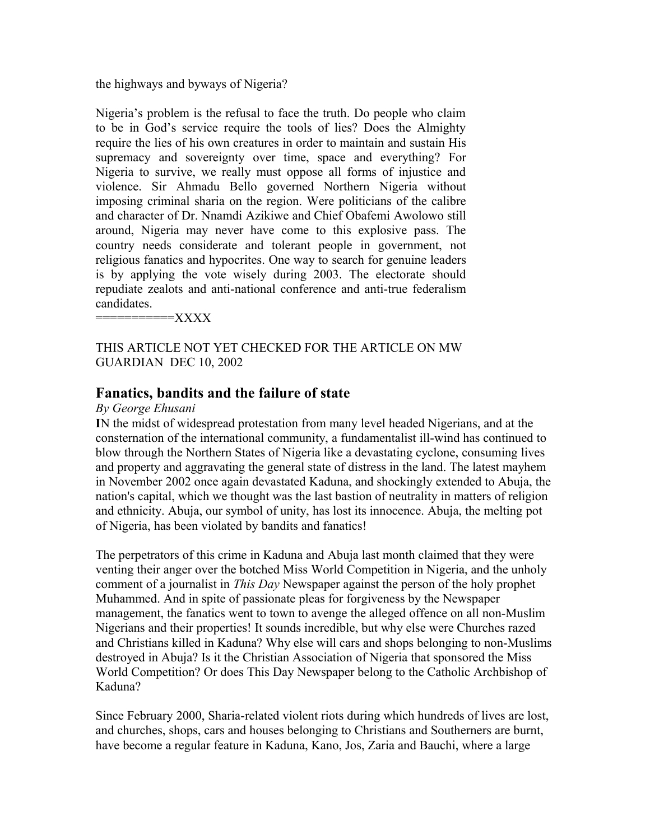the highways and byways of Nigeria?

Nigeria's problem is the refusal to face the truth. Do people who claim to be in God's service require the tools of lies? Does the Almighty require the lies of his own creatures in order to maintain and sustain His supremacy and sovereignty over time, space and everything? For Nigeria to survive, we really must oppose all forms of injustice and violence. Sir Ahmadu Bello governed Northern Nigeria without imposing criminal sharia on the region. Were politicians of the calibre and character of Dr. Nnamdi Azikiwe and Chief Obafemi Awolowo still around, Nigeria may never have come to this explosive pass. The country needs considerate and tolerant people in government, not religious fanatics and hypocrites. One way to search for genuine leaders is by applying the vote wisely during 2003. The electorate should repudiate zealots and anti-national conference and anti-true federalism candidates.

 $=$  $XXXX$ 

## THIS ARTICLE NOT YET CHECKED FOR THE ARTICLE ON MW GUARDIAN DEC 10, 2002

# **Fanatics, bandits and the failure of state**

### *By George Ehusani*

**I**N the midst of widespread protestation from many level headed Nigerians, and at the consternation of the international community, a fundamentalist ill-wind has continued to blow through the Northern States of Nigeria like a devastating cyclone, consuming lives and property and aggravating the general state of distress in the land. The latest mayhem in November 2002 once again devastated Kaduna, and shockingly extended to Abuja, the nation's capital, which we thought was the last bastion of neutrality in matters of religion and ethnicity. Abuja, our symbol of unity, has lost its innocence. Abuja, the melting pot of Nigeria, has been violated by bandits and fanatics!

The perpetrators of this crime in Kaduna and Abuja last month claimed that they were venting their anger over the botched Miss World Competition in Nigeria, and the unholy comment of a journalist in *This Day* Newspaper against the person of the holy prophet Muhammed. And in spite of passionate pleas for forgiveness by the Newspaper management, the fanatics went to town to avenge the alleged offence on all non-Muslim Nigerians and their properties! It sounds incredible, but why else were Churches razed and Christians killed in Kaduna? Why else will cars and shops belonging to non-Muslims destroyed in Abuja? Is it the Christian Association of Nigeria that sponsored the Miss World Competition? Or does This Day Newspaper belong to the Catholic Archbishop of Kaduna?

Since February 2000, Sharia-related violent riots during which hundreds of lives are lost, and churches, shops, cars and houses belonging to Christians and Southerners are burnt, have become a regular feature in Kaduna, Kano, Jos, Zaria and Bauchi, where a large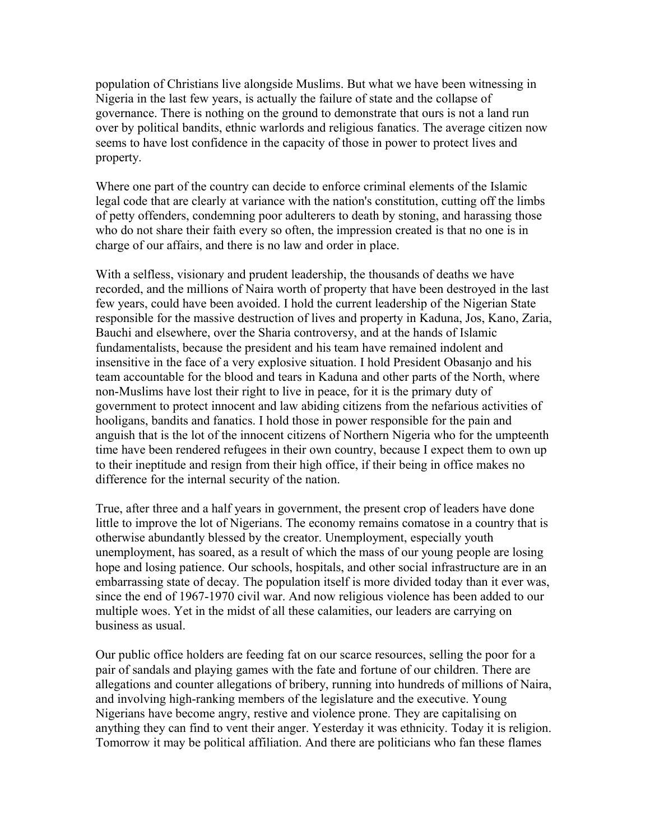population of Christians live alongside Muslims. But what we have been witnessing in Nigeria in the last few years, is actually the failure of state and the collapse of governance. There is nothing on the ground to demonstrate that ours is not a land run over by political bandits, ethnic warlords and religious fanatics. The average citizen now seems to have lost confidence in the capacity of those in power to protect lives and property.

Where one part of the country can decide to enforce criminal elements of the Islamic legal code that are clearly at variance with the nation's constitution, cutting off the limbs of petty offenders, condemning poor adulterers to death by stoning, and harassing those who do not share their faith every so often, the impression created is that no one is in charge of our affairs, and there is no law and order in place.

With a selfless, visionary and prudent leadership, the thousands of deaths we have recorded, and the millions of Naira worth of property that have been destroyed in the last few years, could have been avoided. I hold the current leadership of the Nigerian State responsible for the massive destruction of lives and property in Kaduna, Jos, Kano, Zaria, Bauchi and elsewhere, over the Sharia controversy, and at the hands of Islamic fundamentalists, because the president and his team have remained indolent and insensitive in the face of a very explosive situation. I hold President Obasanjo and his team accountable for the blood and tears in Kaduna and other parts of the North, where non-Muslims have lost their right to live in peace, for it is the primary duty of government to protect innocent and law abiding citizens from the nefarious activities of hooligans, bandits and fanatics. I hold those in power responsible for the pain and anguish that is the lot of the innocent citizens of Northern Nigeria who for the umpteenth time have been rendered refugees in their own country, because I expect them to own up to their ineptitude and resign from their high office, if their being in office makes no difference for the internal security of the nation.

True, after three and a half years in government, the present crop of leaders have done little to improve the lot of Nigerians. The economy remains comatose in a country that is otherwise abundantly blessed by the creator. Unemployment, especially youth unemployment, has soared, as a result of which the mass of our young people are losing hope and losing patience. Our schools, hospitals, and other social infrastructure are in an embarrassing state of decay. The population itself is more divided today than it ever was, since the end of 1967-1970 civil war. And now religious violence has been added to our multiple woes. Yet in the midst of all these calamities, our leaders are carrying on business as usual.

Our public office holders are feeding fat on our scarce resources, selling the poor for a pair of sandals and playing games with the fate and fortune of our children. There are allegations and counter allegations of bribery, running into hundreds of millions of Naira, and involving high-ranking members of the legislature and the executive. Young Nigerians have become angry, restive and violence prone. They are capitalising on anything they can find to vent their anger. Yesterday it was ethnicity. Today it is religion. Tomorrow it may be political affiliation. And there are politicians who fan these flames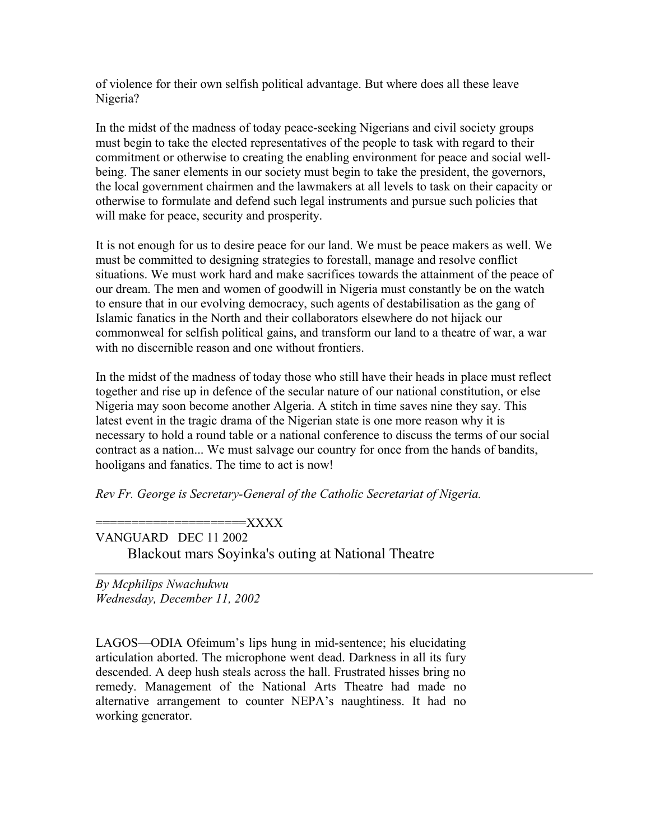of violence for their own selfish political advantage. But where does all these leave Nigeria?

In the midst of the madness of today peace-seeking Nigerians and civil society groups must begin to take the elected representatives of the people to task with regard to their commitment or otherwise to creating the enabling environment for peace and social wellbeing. The saner elements in our society must begin to take the president, the governors, the local government chairmen and the lawmakers at all levels to task on their capacity or otherwise to formulate and defend such legal instruments and pursue such policies that will make for peace, security and prosperity.

It is not enough for us to desire peace for our land. We must be peace makers as well. We must be committed to designing strategies to forestall, manage and resolve conflict situations. We must work hard and make sacrifices towards the attainment of the peace of our dream. The men and women of goodwill in Nigeria must constantly be on the watch to ensure that in our evolving democracy, such agents of destabilisation as the gang of Islamic fanatics in the North and their collaborators elsewhere do not hijack our commonweal for selfish political gains, and transform our land to a theatre of war, a war with no discernible reason and one without frontiers.

In the midst of the madness of today those who still have their heads in place must reflect together and rise up in defence of the secular nature of our national constitution, or else Nigeria may soon become another Algeria. A stitch in time saves nine they say. This latest event in the tragic drama of the Nigerian state is one more reason why it is necessary to hold a round table or a national conference to discuss the terms of our social contract as a nation... We must salvage our country for once from the hands of bandits, hooligans and fanatics. The time to act is now!

*Rev Fr. George is Secretary-General of the Catholic Secretariat of Nigeria.* 

 $=$  XXXX

VANGUARD DEC 11 2002 Blackout mars Soyinka's outing at National Theatre

*By Mcphilips Nwachukwu Wednesday, December 11, 2002*

LAGOS—ODIA Ofeimum's lips hung in mid-sentence; his elucidating articulation aborted. The microphone went dead. Darkness in all its fury descended. A deep hush steals across the hall. Frustrated hisses bring no remedy. Management of the National Arts Theatre had made no alternative arrangement to counter NEPA's naughtiness. It had no working generator.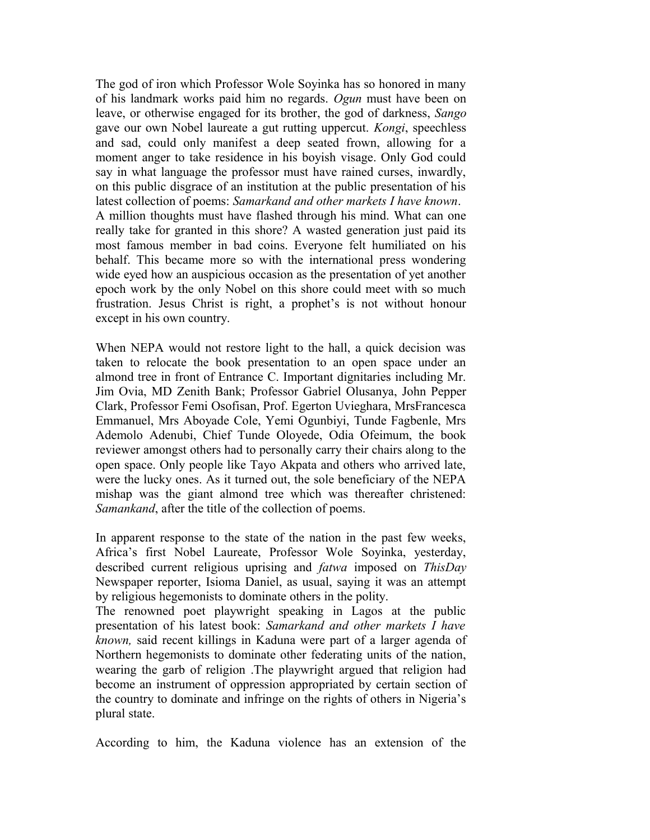The god of iron which Professor Wole Soyinka has so honored in many of his landmark works paid him no regards. *Ogun* must have been on leave, or otherwise engaged for its brother, the god of darkness, *Sango* gave our own Nobel laureate a gut rutting uppercut. *Kongi*, speechless and sad, could only manifest a deep seated frown, allowing for a moment anger to take residence in his boyish visage. Only God could say in what language the professor must have rained curses, inwardly, on this public disgrace of an institution at the public presentation of his latest collection of poems: *Samarkand and other markets I have known*. A million thoughts must have flashed through his mind. What can one really take for granted in this shore? A wasted generation just paid its most famous member in bad coins. Everyone felt humiliated on his behalf. This became more so with the international press wondering wide eyed how an auspicious occasion as the presentation of yet another epoch work by the only Nobel on this shore could meet with so much frustration. Jesus Christ is right, a prophet's is not without honour except in his own country.

When NEPA would not restore light to the hall, a quick decision was taken to relocate the book presentation to an open space under an almond tree in front of Entrance C. Important dignitaries including Mr. Jim Ovia, MD Zenith Bank; Professor Gabriel Olusanya, John Pepper Clark, Professor Femi Osofisan, Prof. Egerton Uvieghara, MrsFrancesca Emmanuel, Mrs Aboyade Cole, Yemi Ogunbiyi, Tunde Fagbenle, Mrs Ademolo Adenubi, Chief Tunde Oloyede, Odia Ofeimum, the book reviewer amongst others had to personally carry their chairs along to the open space. Only people like Tayo Akpata and others who arrived late, were the lucky ones. As it turned out, the sole beneficiary of the NEPA mishap was the giant almond tree which was thereafter christened: *Samankand*, after the title of the collection of poems.

In apparent response to the state of the nation in the past few weeks, Africa's first Nobel Laureate, Professor Wole Soyinka, yesterday, described current religious uprising and *fatwa* imposed on *ThisDay* Newspaper reporter, Isioma Daniel, as usual, saying it was an attempt by religious hegemonists to dominate others in the polity.

The renowned poet playwright speaking in Lagos at the public presentation of his latest book: *Samarkand and other markets I have known,* said recent killings in Kaduna were part of a larger agenda of Northern hegemonists to dominate other federating units of the nation, wearing the garb of religion .The playwright argued that religion had become an instrument of oppression appropriated by certain section of the country to dominate and infringe on the rights of others in Nigeria's plural state.

According to him, the Kaduna violence has an extension of the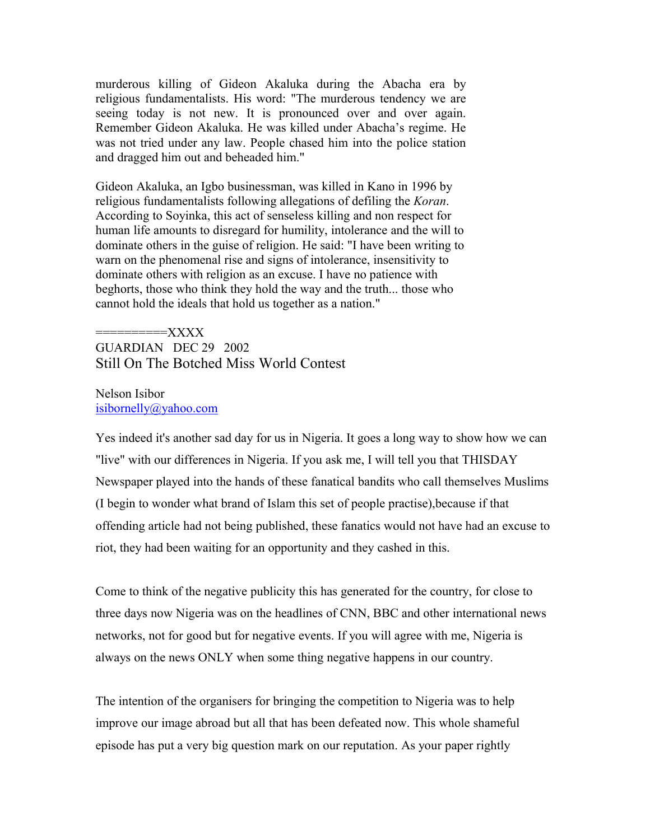murderous killing of Gideon Akaluka during the Abacha era by religious fundamentalists. His word: "The murderous tendency we are seeing today is not new. It is pronounced over and over again. Remember Gideon Akaluka. He was killed under Abacha's regime. He was not tried under any law. People chased him into the police station and dragged him out and beheaded him."

Gideon Akaluka, an Igbo businessman, was killed in Kano in 1996 by religious fundamentalists following allegations of defiling the *Koran*. According to Soyinka, this act of senseless killing and non respect for human life amounts to disregard for humility, intolerance and the will to dominate others in the guise of religion. He said: "I have been writing to warn on the phenomenal rise and signs of intolerance, insensitivity to dominate others with religion as an excuse. I have no patience with beghorts, those who think they hold the way and the truth... those who cannot hold the ideals that hold us together as a nation."

==========XXXX GUARDIAN DEC 29 2002 Still On The Botched Miss World Contest

Nelson Isibor [isibornelly@yahoo.com](file:///cgi-bin/compose%3Fmailto=1&msg=MSG1041196933.36&start=2907815&len=326432&src=&type=x&to=isibornelly@yahoo.com&cc=&bcc=&subject=&body=&curmbox=F000000001&a=3379037ec23ae7cc1b9a2bc706cf3658)

Yes indeed it's another sad day for us in Nigeria. It goes a long way to show how we can "live" with our differences in Nigeria. If you ask me, I will tell you that THISDAY Newspaper played into the hands of these fanatical bandits who call themselves Muslims (I begin to wonder what brand of Islam this set of people practise),because if that offending article had not being published, these fanatics would not have had an excuse to riot, they had been waiting for an opportunity and they cashed in this.

Come to think of the negative publicity this has generated for the country, for close to three days now Nigeria was on the headlines of CNN, BBC and other international news networks, not for good but for negative events. If you will agree with me, Nigeria is always on the news ONLY when some thing negative happens in our country.

The intention of the organisers for bringing the competition to Nigeria was to help improve our image abroad but all that has been defeated now. This whole shameful episode has put a very big question mark on our reputation. As your paper rightly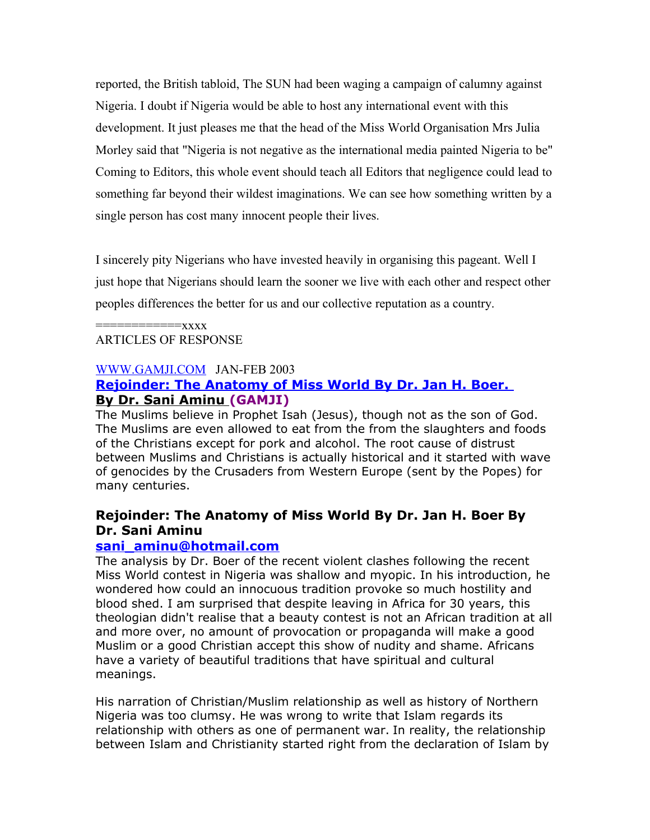reported, the British tabloid, The SUN had been waging a campaign of calumny against Nigeria. I doubt if Nigeria would be able to host any international event with this development. It just pleases me that the head of the Miss World Organisation Mrs Julia Morley said that "Nigeria is not negative as the international media painted Nigeria to be" Coming to Editors, this whole event should teach all Editors that negligence could lead to something far beyond their wildest imaginations. We can see how something written by a single person has cost many innocent people their lives.

I sincerely pity Nigerians who have invested heavily in organising this pageant. Well I just hope that Nigerians should learn the sooner we live with each other and respect other peoples differences the better for us and our collective reputation as a country.

#### $=$  $xxxxx$ ARTICLES OF RESPONSE

### [WWW.GAMJI.COM](http://WWW.GAMJI.COM/) JAN-FEB 2003

# **[Rejoinder: The Anatomy of Miss World By Dr. Jan H. Boer.](file:///C:/Users/Owner/Desktop/NEWS2128.htm)  [By Dr. Sani Aminu \(](file:///C:/Users/Owner/Desktop/NEWS2128.htm)GAMJI)**

The Muslims believe in Prophet Isah (Jesus), though not as the son of God. The Muslims are even allowed to eat from the from the slaughters and foods of the Christians except for pork and alcohol. The root cause of distrust between Muslims and Christians is actually historical and it started with wave of genocides by the Crusaders from Western Europe (sent by the Popes) for many centuries.

# **Rejoinder: The Anatomy of Miss World By Dr. Jan H. Boer By Dr. Sani Aminu**

### **[sani\\_aminu@hotmail.com](mailto:sani_aminu@hotmail.com)**

The analysis by Dr. Boer of the recent violent clashes following the recent Miss World contest in Nigeria was shallow and myopic. In his introduction, he wondered how could an innocuous tradition provoke so much hostility and blood shed. I am surprised that despite leaving in Africa for 30 years, this theologian didn't realise that a beauty contest is not an African tradition at all and more over, no amount of provocation or propaganda will make a good Muslim or a good Christian accept this show of nudity and shame. Africans have a variety of beautiful traditions that have spiritual and cultural meanings.

His narration of Christian/Muslim relationship as well as history of Northern Nigeria was too clumsy. He was wrong to write that Islam regards its relationship with others as one of permanent war. In reality, the relationship between Islam and Christianity started right from the declaration of Islam by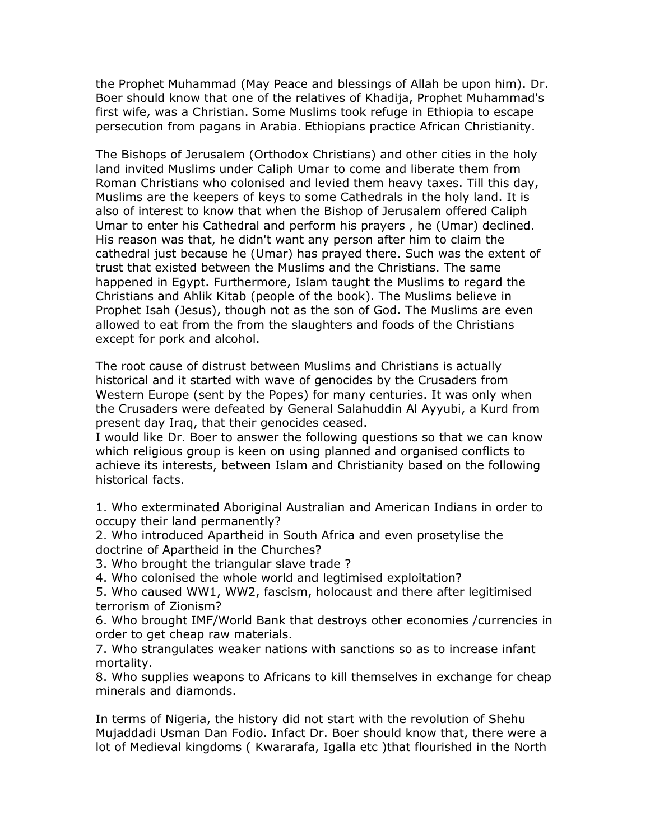the Prophet Muhammad (May Peace and blessings of Allah be upon him). Dr. Boer should know that one of the relatives of Khadija, Prophet Muhammad's first wife, was a Christian. Some Muslims took refuge in Ethiopia to escape persecution from pagans in Arabia. Ethiopians practice African Christianity.

The Bishops of Jerusalem (Orthodox Christians) and other cities in the holy land invited Muslims under Caliph Umar to come and liberate them from Roman Christians who colonised and levied them heavy taxes. Till this day, Muslims are the keepers of keys to some Cathedrals in the holy land. It is also of interest to know that when the Bishop of Jerusalem offered Caliph Umar to enter his Cathedral and perform his prayers , he (Umar) declined. His reason was that, he didn't want any person after him to claim the cathedral just because he (Umar) has prayed there. Such was the extent of trust that existed between the Muslims and the Christians. The same happened in Egypt. Furthermore, Islam taught the Muslims to regard the Christians and Ahlik Kitab (people of the book). The Muslims believe in Prophet Isah (Jesus), though not as the son of God. The Muslims are even allowed to eat from the from the slaughters and foods of the Christians except for pork and alcohol.

The root cause of distrust between Muslims and Christians is actually historical and it started with wave of genocides by the Crusaders from Western Europe (sent by the Popes) for many centuries. It was only when the Crusaders were defeated by General Salahuddin Al Ayyubi, a Kurd from present day Iraq, that their genocides ceased.

I would like Dr. Boer to answer the following questions so that we can know which religious group is keen on using planned and organised conflicts to achieve its interests, between Islam and Christianity based on the following historical facts.

1. Who exterminated Aboriginal Australian and American Indians in order to occupy their land permanently?

2. Who introduced Apartheid in South Africa and even prosetylise the doctrine of Apartheid in the Churches?

3. Who brought the triangular slave trade ?

4. Who colonised the whole world and legtimised exploitation?

5. Who caused WW1, WW2, fascism, holocaust and there after legitimised terrorism of Zionism?

6. Who brought IMF/World Bank that destroys other economies /currencies in order to get cheap raw materials.

7. Who strangulates weaker nations with sanctions so as to increase infant mortality.

8. Who supplies weapons to Africans to kill themselves in exchange for cheap minerals and diamonds.

In terms of Nigeria, the history did not start with the revolution of Shehu Mujaddadi Usman Dan Fodio. Infact Dr. Boer should know that, there were a lot of Medieval kingdoms ( Kwararafa, Igalla etc )that flourished in the North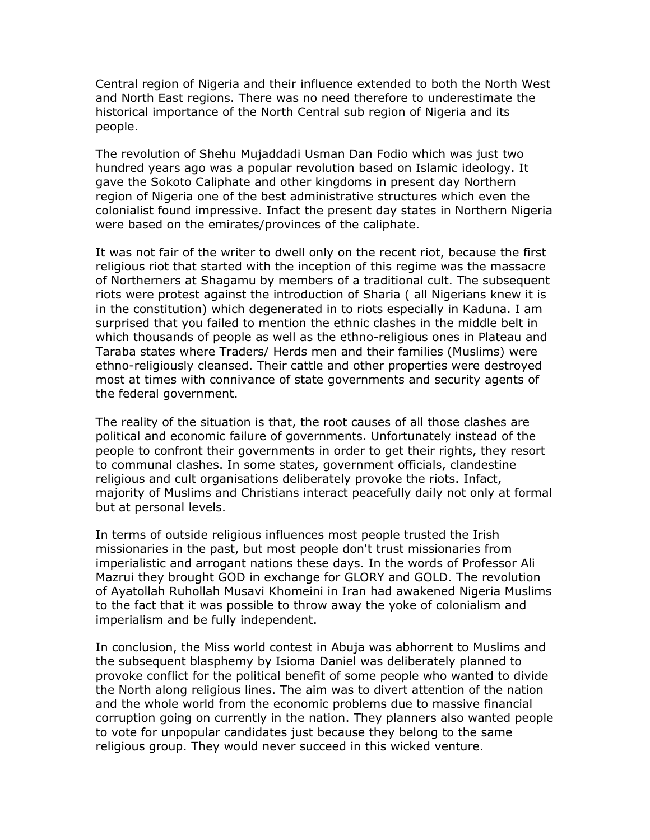Central region of Nigeria and their influence extended to both the North West and North East regions. There was no need therefore to underestimate the historical importance of the North Central sub region of Nigeria and its people.

The revolution of Shehu Mujaddadi Usman Dan Fodio which was just two hundred years ago was a popular revolution based on Islamic ideology. It gave the Sokoto Caliphate and other kingdoms in present day Northern region of Nigeria one of the best administrative structures which even the colonialist found impressive. Infact the present day states in Northern Nigeria were based on the emirates/provinces of the caliphate.

It was not fair of the writer to dwell only on the recent riot, because the first religious riot that started with the inception of this regime was the massacre of Northerners at Shagamu by members of a traditional cult. The subsequent riots were protest against the introduction of Sharia ( all Nigerians knew it is in the constitution) which degenerated in to riots especially in Kaduna. I am surprised that you failed to mention the ethnic clashes in the middle belt in which thousands of people as well as the ethno-religious ones in Plateau and Taraba states where Traders/ Herds men and their families (Muslims) were ethno-religiously cleansed. Their cattle and other properties were destroyed most at times with connivance of state governments and security agents of the federal government.

The reality of the situation is that, the root causes of all those clashes are political and economic failure of governments. Unfortunately instead of the people to confront their governments in order to get their rights, they resort to communal clashes. In some states, government officials, clandestine religious and cult organisations deliberately provoke the riots. Infact, majority of Muslims and Christians interact peacefully daily not only at formal but at personal levels.

In terms of outside religious influences most people trusted the Irish missionaries in the past, but most people don't trust missionaries from imperialistic and arrogant nations these days. In the words of Professor Ali Mazrui they brought GOD in exchange for GLORY and GOLD. The revolution of Ayatollah Ruhollah Musavi Khomeini in Iran had awakened Nigeria Muslims to the fact that it was possible to throw away the yoke of colonialism and imperialism and be fully independent.

In conclusion, the Miss world contest in Abuja was abhorrent to Muslims and the subsequent blasphemy by Isioma Daniel was deliberately planned to provoke conflict for the political benefit of some people who wanted to divide the North along religious lines. The aim was to divert attention of the nation and the whole world from the economic problems due to massive financial corruption going on currently in the nation. They planners also wanted people to vote for unpopular candidates just because they belong to the same religious group. They would never succeed in this wicked venture.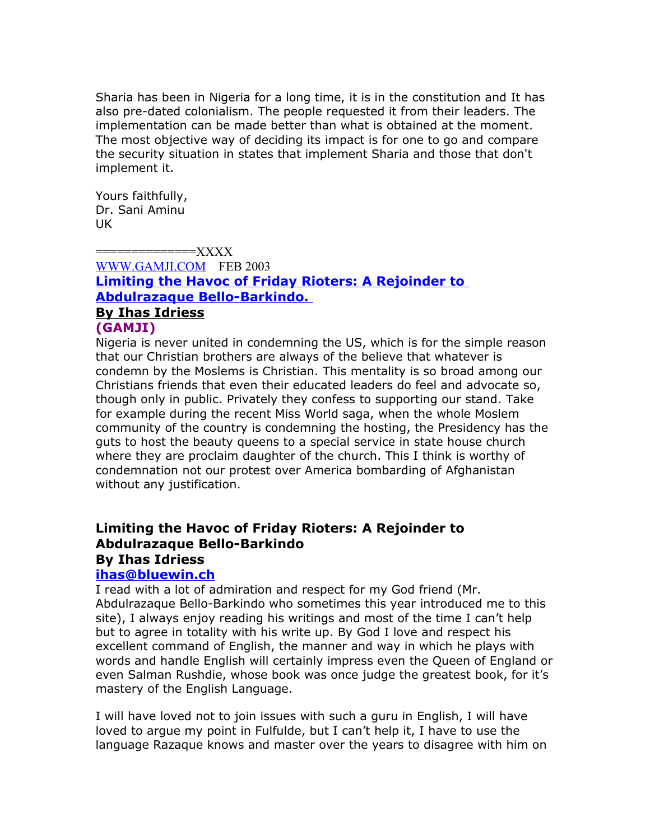Sharia has been in Nigeria for a long time, it is in the constitution and It has also pre-dated colonialism. The people requested it from their leaders. The implementation can be made better than what is obtained at the moment. The most objective way of deciding its impact is for one to go and compare the security situation in states that implement Sharia and those that don't implement it.

Yours faithfully, Dr. Sani Aminu UK

==============XXXX [WWW.GAMJI.COM](http://WWW.GAMJI.COM/) FEB 2003 **[Limiting the Havoc of Friday Rioters: A Rejoinder to](file:///C:/Users/Owner/Desktop/NEWS2137.htm)  [Abdulrazaque Bello-Barkindo.](file:///C:/Users/Owner/Desktop/NEWS2137.htm)  [By Ihas Idriess](file:///C:/Users/Owner/Desktop/NEWS2137.htm)**

# **(GAMJI)**

Nigeria is never united in condemning the US, which is for the simple reason that our Christian brothers are always of the believe that whatever is condemn by the Moslems is Christian. This mentality is so broad among our Christians friends that even their educated leaders do feel and advocate so, though only in public. Privately they confess to supporting our stand. Take for example during the recent Miss World saga, when the whole Moslem community of the country is condemning the hosting, the Presidency has the guts to host the beauty queens to a special service in state house church where they are proclaim daughter of the church. This I think is worthy of condemnation not our protest over America bombarding of Afghanistan without any justification.

# **Limiting the Havoc of Friday Rioters: A Rejoinder to Abdulrazaque Bello-Barkindo By Ihas Idriess**

# **[ihas@bluewin.ch](mailto:ihas@bluewin.ch)**

I read with a lot of admiration and respect for my God friend (Mr. Abdulrazaque Bello-Barkindo who sometimes this year introduced me to this site), I always enjoy reading his writings and most of the time I can't help but to agree in totality with his write up. By God I love and respect his excellent command of English, the manner and way in which he plays with words and handle English will certainly impress even the Queen of England or even Salman Rushdie, whose book was once judge the greatest book, for it's mastery of the English Language.

I will have loved not to join issues with such a guru in English, I will have loved to argue my point in Fulfulde, but I can't help it, I have to use the language Razaque knows and master over the years to disagree with him on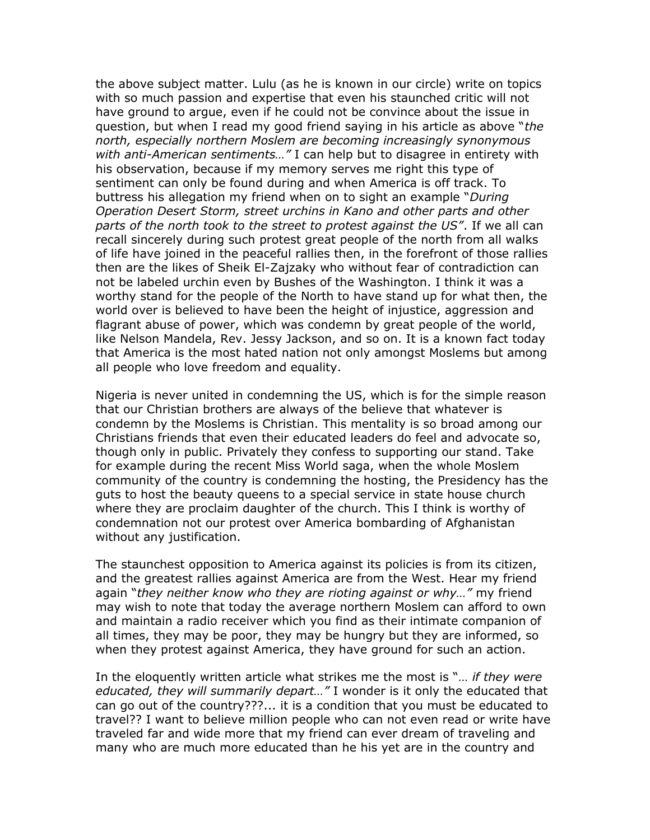the above subject matter. Lulu (as he is known in our circle) write on topics with so much passion and expertise that even his staunched critic will not have ground to argue, even if he could not be convince about the issue in question, but when I read my good friend saying in his article as above "*the north, especially northern Moslem are becoming increasingly synonymous with anti-American sentiments…"* I can help but to disagree in entirety with his observation, because if my memory serves me right this type of sentiment can only be found during and when America is off track. To buttress his allegation my friend when on to sight an example "*During Operation Desert Storm, street urchins in Kano and other parts and other parts of the north took to the street to protest against the US"*. If we all can recall sincerely during such protest great people of the north from all walks of life have joined in the peaceful rallies then, in the forefront of those rallies then are the likes of Sheik El-Zajzaky who without fear of contradiction can not be labeled urchin even by Bushes of the Washington. I think it was a worthy stand for the people of the North to have stand up for what then, the world over is believed to have been the height of injustice, aggression and flagrant abuse of power, which was condemn by great people of the world, like Nelson Mandela, Rev. Jessy Jackson, and so on. It is a known fact today that America is the most hated nation not only amongst Moslems but among all people who love freedom and equality.

Nigeria is never united in condemning the US, which is for the simple reason that our Christian brothers are always of the believe that whatever is condemn by the Moslems is Christian. This mentality is so broad among our Christians friends that even their educated leaders do feel and advocate so, though only in public. Privately they confess to supporting our stand. Take for example during the recent Miss World saga, when the whole Moslem community of the country is condemning the hosting, the Presidency has the guts to host the beauty queens to a special service in state house church where they are proclaim daughter of the church. This I think is worthy of condemnation not our protest over America bombarding of Afghanistan without any justification.

The staunchest opposition to America against its policies is from its citizen, and the greatest rallies against America are from the West. Hear my friend again "*they neither know who they are rioting against or why…"* my friend may wish to note that today the average northern Moslem can afford to own and maintain a radio receiver which you find as their intimate companion of all times, they may be poor, they may be hungry but they are informed, so when they protest against America, they have ground for such an action.

In the eloquently written article what strikes me the most is "… *if they were educated, they will summarily depart…"* I wonder is it only the educated that can go out of the country???... it is a condition that you must be educated to travel?? I want to believe million people who can not even read or write have traveled far and wide more that my friend can ever dream of traveling and many who are much more educated than he his yet are in the country and